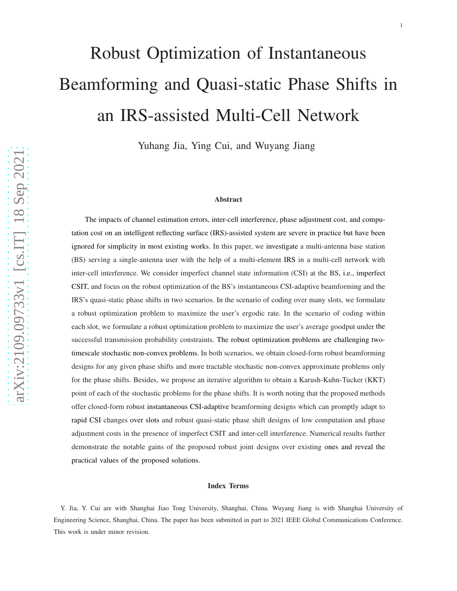# Robust Optimization of Instantaneous Beamforming and Quasi-static Phase Shifts in an IRS-assisted Multi-Cell Network

Yuhang Jia, Ying Cui, and Wuyang Jiang

#### Abstract

The impacts of channel estimation errors, inter-cell interference, phase adjustment cost, and computation cost on an intelligent reflecting surface (IRS)-assisted system are severe in practice but have been ignored for simplicity in most existing works. In this paper, we investigate a multi-antenna base station (BS) serving a single-antenna user with the help of a multi-element IRS in a multi-cell network with inter-cell interference. We consider imperfect channel state information (CSI) at the BS, i.e., imperfect CSIT, and focus on the robust optimization of the BS's instantaneous CSI-adaptive beamforming and the IRS's quasi-static phase shifts in two scenarios. In the scenario of coding over many slots, we formulate a robust optimization problem to maximize the user's ergodic rate. In the scenario of coding within each slot, we formulate a robust optimization problem to maximize the user's average goodput under the successful transmission probability constraints. The robust optimization problems are challenging twotimescale stochastic non-convex problems. In both scenarios, we obtain closed-form robust beamforming designs for any given phase shifts and more tractable stochastic non-convex approximate problems only for the phase shifts. Besides, we propose an iterative algorithm to obtain a Karush-Kuhn-Tucker (KKT) point of each of the stochastic problems for the phase shifts. It is worth noting that the proposed methods offer closed-form robust instantaneous CSI-adaptive beamforming designs which can promptly adapt to rapid CSI changes over slots and robust quasi-static phase shift designs of low computation and phase adjustment costs in the presence of imperfect CSIT and inter-cell interference. Numerical results further demonstrate the notable gains of the proposed robust joint designs over existing ones and reveal the practical values of the proposed solutions .

#### Index Terms

Y. Jia, Y. Cui are with Shanghai Jiao Tong University, Shanghai, China. Wuyang Jiang is with Shanghai University of Engineering Science, Shanghai, China. The paper has been submitted in part to 2021 IEEE Global Communications Conference. This work is under minor revision.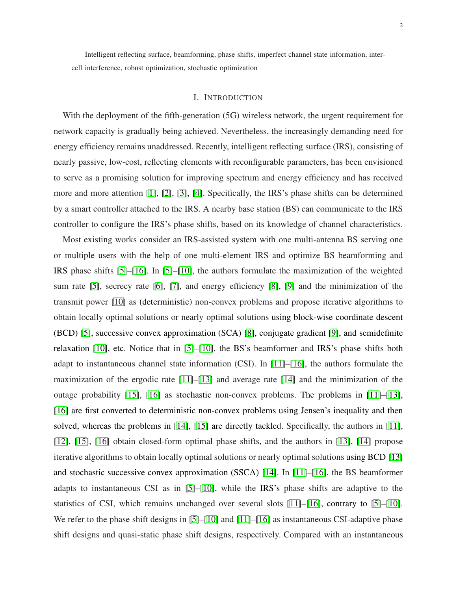Intelligent reflecting surface, beamforming, phase shifts, imperfect channel state information, intercell interference, robust optimization, stochastic optimization

#### I. INTRODUCTION

With the deployment of the fifth-generation (5G) wireless network, the urgent requirement for network capacity is gradually being achieved. Nevertheless, the increasingly demanding need for energy efficiency remains unaddressed. Recently, intelligent reflecting surface (IRS), consisting of nearly passive, low-cost, reflecting elements with reconfigurable parameters, has been envisioned to serve as a promising solution for improving spectrum and energy efficiency and has received more and more attention [\[1\]](#page-32-0), [\[2\]](#page-32-1), [\[3\]](#page-32-2), [\[4\]](#page-32-3). Specifically, the IRS's phase shifts can be determined by a smart controller attached to the IRS. A nearby base station (BS) can communicate to the IRS controller to configure the IRS's phase shifts, based on its knowledge of channel characteristics.

Most existing works consider an IRS-assisted system with one multi-antenna BS serving one or multiple users with the help of one multi-element IRS and optimize BS beamforming and IRS phase shifts [\[5\]](#page-32-4)–[\[16\]](#page-33-0). In [\[5\]](#page-32-4)–[\[10\]](#page-32-5), the authors formulate the maximization of the weighted sum rate [\[5\]](#page-32-4), secrecy rate [\[6\]](#page-32-6), [\[7\]](#page-32-7), and energy efficiency [\[8\]](#page-32-8), [\[9\]](#page-32-9) and the minimization of the transmit power [\[10\]](#page-32-5) as (deterministic) non-convex problems and propose iterative algorithms to obtain locally optimal solutions or nearly optimal solutions using block-wise coordinate descent (BCD) [\[5\]](#page-32-4), successive convex approximation (SCA) [\[8\]](#page-32-8), conjugate gradient [\[9\]](#page-32-9), and semidefinite relaxation [\[10\]](#page-32-5), etc. Notice that in [\[5\]](#page-32-4)–[\[10\]](#page-32-5), the BS's beamformer and IRS's phase shifts both adapt to instantaneous channel state information (CSI). In [\[11\]](#page-32-10)–[\[16\]](#page-33-0), the authors formulate the maximization of the ergodic rate [\[11\]](#page-32-10)–[\[13\]](#page-32-11) and average rate [\[14\]](#page-32-12) and the minimization of the outage probability [\[15\]](#page-32-13), [\[16\]](#page-33-0) as stochastic non-convex problems. The problems in [\[11\]](#page-32-10)–[\[13\]](#page-32-11), [\[16\]](#page-33-0) are first converted to deterministic non-convex problems using Jensen's inequality and then solved, whereas the problems in [\[14\]](#page-32-12), [\[15\]](#page-32-13) are directly tackled. Specifically, the authors in [\[11\]](#page-32-10), [\[12\]](#page-32-14), [\[15\]](#page-32-13), [\[16\]](#page-33-0) obtain closed-form optimal phase shifts, and the authors in [\[13\]](#page-32-11), [\[14\]](#page-32-12) propose iterative algorithms to obtain locally optimal solutions or nearly optimal solutions using BCD [\[13\]](#page-32-11) and stochastic successive convex approximation (SSCA) [\[14\]](#page-32-12). In [\[11\]](#page-32-10)–[\[16\]](#page-33-0), the BS beamformer adapts to instantaneous CSI as in [\[5\]](#page-32-4)–[\[10\]](#page-32-5), while the IRS's phase shifts are adaptive to the statistics of CSI, which remains unchanged over several slots [\[11\]](#page-32-10)–[\[16\]](#page-33-0), contrary to [\[5\]](#page-32-4)–[\[10\]](#page-32-5). We refer to the phase shift designs in [\[5\]](#page-32-4)–[\[10\]](#page-32-5) and [\[11\]](#page-32-10)–[\[16\]](#page-33-0) as instantaneous CSI-adaptive phase shift designs and quasi-static phase shift designs, respectively. Compared with an instantaneous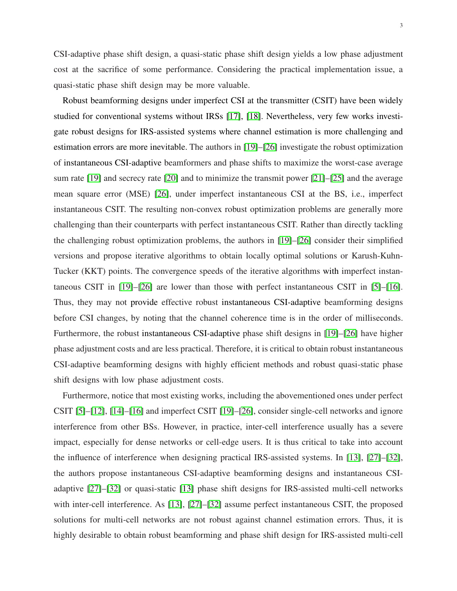CSI-adaptive phase shift design, a quasi-static phase shift design yields a low phase adjustment cost at the sacrifice of some performance. Considering the practical implementation issue, a quasi-static phase shift design may be more valuable.

Robust beamforming designs under imperfect CSI at the transmitter (CSIT) have been widely studied for conventional systems without IRSs [\[17\]](#page-33-1), [\[18\]](#page-33-2). Nevertheless, very few works investigate robust designs for IRS-assisted systems where channel estimation is more challenging and estimation errors are more inevitable. The authors in [\[19\]](#page-33-3)–[\[26\]](#page-33-4) investigate the robust optimization of instantaneous CSI-adaptive beamformers and phase shifts to maximize the worst-case average sum rate [\[19\]](#page-33-3) and secrecy rate [\[20\]](#page-33-5) and to minimize the transmit power [\[21\]](#page-33-6)–[\[25\]](#page-33-7) and the average mean square error (MSE) [\[26\]](#page-33-4), under imperfect instantaneous CSI at the BS, i.e., imperfect instantaneous CSIT. The resulting non-convex robust optimization problems are generally more challenging than their counterparts with perfect instantaneous CSIT. Rather than directly tackling the challenging robust optimization problems, the authors in [\[19\]](#page-33-3)–[\[26\]](#page-33-4) consider their simplified versions and propose iterative algorithms to obtain locally optimal solutions or Karush-Kuhn-Tucker (KKT) points. The convergence speeds of the iterative algorithms with imperfect instantaneous CSIT in [\[19\]](#page-33-3)–[\[26\]](#page-33-4) are lower than those with perfect instantaneous CSIT in [\[5\]](#page-32-4)–[\[16\]](#page-33-0). Thus, they may not provide effective robust instantaneous CSI-adaptive beamforming designs before CSI changes, by noting that the channel coherence time is in the order of milliseconds. Furthermore, the robust instantaneous CSI-adaptive phase shift designs in [\[19\]](#page-33-3)–[\[26\]](#page-33-4) have higher phase adjustment costs and are less practical. Therefore, it is critical to obtain robust instantaneous CSI-adaptive beamforming designs with highly efficient methods and robust quasi-static phase shift designs with low phase adjustment costs.

Furthermore, notice that most existing works, including the abovementioned ones under perfect CSIT [\[5\]](#page-32-4)–[\[12\]](#page-32-14), [\[14\]](#page-32-12)–[\[16\]](#page-33-0) and imperfect CSIT [\[19\]](#page-33-3)–[\[26\]](#page-33-4), consider single-cell networks and ignore interference from other BSs. However, in practice, inter-cell interference usually has a severe impact, especially for dense networks or cell-edge users. It is thus critical to take into account the influence of interference when designing practical IRS-assisted systems. In [\[13\]](#page-32-11), [\[27\]](#page-33-8)–[\[32\]](#page-33-9), the authors propose instantaneous CSI-adaptive beamforming designs and instantaneous CSIadaptive [\[27\]](#page-33-8)–[\[32\]](#page-33-9) or quasi-static [\[13\]](#page-32-11) phase shift designs for IRS-assisted multi-cell networks with inter-cell interference. As [\[13\]](#page-32-11), [\[27\]](#page-33-8)–[\[32\]](#page-33-9) assume perfect instantaneous CSIT, the proposed solutions for multi-cell networks are not robust against channel estimation errors. Thus, it is highly desirable to obtain robust beamforming and phase shift design for IRS-assisted multi-cell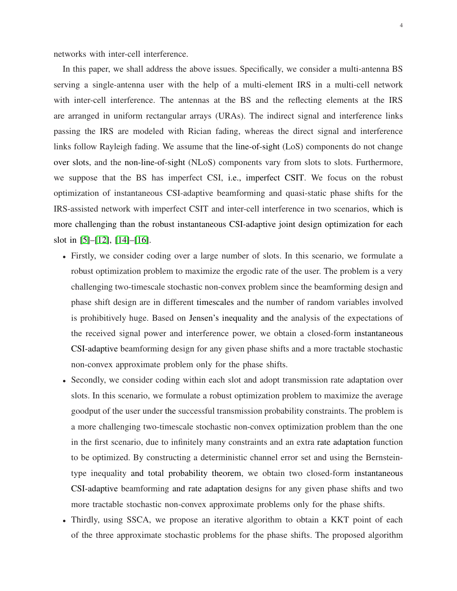networks with inter-cell interference.

In this paper, we shall address the above issues. Specifically, we consider a multi-antenna BS serving a single-antenna user with the help of a multi-element IRS in a multi-cell network with inter-cell interference. The antennas at the BS and the reflecting elements at the IRS are arranged in uniform rectangular arrays (URAs). The indirect signal and interference links passing the IRS are modeled with Rician fading, whereas the direct signal and interference links follow Rayleigh fading. We assume that the line-of-sight (LoS) components do not change over slots, and the non-line-of-sight (NLoS) components vary from slots to slots. Furthermore, we suppose that the BS has imperfect CSI, i.e., imperfect CSIT. We focus on the robust optimization of instantaneous CSI-adaptive beamforming and quasi-static phase shifts for the IRS-assisted network with imperfect CSIT and inter-cell interference in two scenarios, which is more challenging than the robust instantaneous CSI-adaptive joint design optimization for each slot in [\[5\]](#page-32-4)–[\[12\]](#page-32-14), [\[14\]](#page-32-12)–[\[16\]](#page-33-0).

- Firstly, we consider coding over a large number of slots. In this scenario, we formulate a robust optimization problem to maximize the ergodic rate of the user. The problem is a very challenging two-timescale stochastic non-convex problem since the beamforming design and phase shift design are in different timescales and the number of random variables involved is prohibitively huge. Based on Jensen's inequality and the analysis of the expectations of the received signal power and interference power, we obtain a closed-form instantaneous CSI-adaptive beamforming design for any given phase shifts and a more tractable stochastic non-convex approximate problem only for the phase shifts.
- Secondly, we consider coding within each slot and adopt transmission rate adaptation over slots. In this scenario, we formulate a robust optimization problem to maximize the average goodput of the user under the successful transmission probability constraints. The problem is a more challenging two-timescale stochastic non-convex optimization problem than the one in the first scenario, due to infinitely many constraints and an extra rate adaptation function to be optimized. By constructing a deterministic channel error set and using the Bernsteintype inequality and total probability theorem, we obtain two closed-form instantaneous CSI-adaptive beamforming and rate adaptation designs for any given phase shifts and two more tractable stochastic non-convex approximate problems only for the phase shifts.
- Thirdly, using SSCA, we propose an iterative algorithm to obtain a KKT point of each of the three approximate stochastic problems for the phase shifts. The proposed algorithm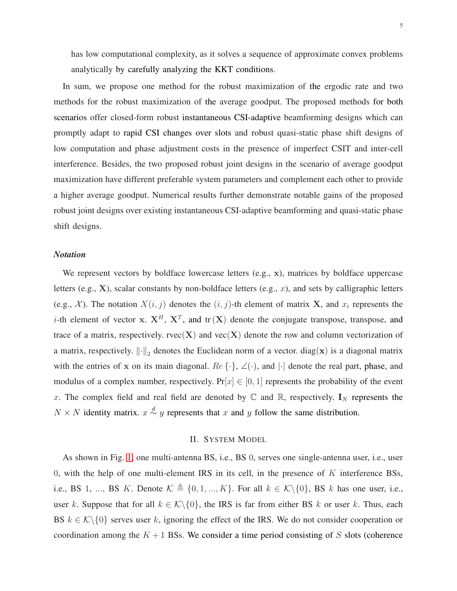has low computational complexity, as it solves a sequence of approximate convex problems analytically by carefully analyzing the KKT conditions.

In sum, we propose one method for the robust maximization of the ergodic rate and two methods for the robust maximization of the average goodput. The proposed methods for both scenarios offer closed-form robust instantaneous CSI-adaptive beamforming designs which can promptly adapt to rapid CSI changes over slots and robust quasi-static phase shift designs of low computation and phase adjustment costs in the presence of imperfect CSIT and inter-cell interference. Besides, the two proposed robust joint designs in the scenario of average goodput maximization have different preferable system parameters and complement each other to provide a higher average goodput. Numerical results further demonstrate notable gains of the proposed robust joint designs over existing instantaneous CSI-adaptive beamforming and quasi-static phase shift designs.

## *Notation*

We represent vectors by boldface lowercase letters  $(e.g., x)$ , matrices by boldface uppercase letters (e.g.,  $X$ ), scalar constants by non-boldface letters (e.g.,  $x$ ), and sets by calligraphic letters (e.g., X). The notation  $X(i, j)$  denotes the  $(i, j)$ -th element of matrix X, and  $x_i$  represents the *i*-th element of vector x.  $X^H$ ,  $X^T$ , and tr(X) denote the conjugate transpose, transpose, and trace of a matrix, respectively.  $rvec(X)$  and  $vec(X)$  denote the row and column vectorization of a matrix, respectively.  $\left\|\cdot\right\|_2$  denotes the Euclidean norm of a vector. diag(x) is a diagonal matrix with the entries of x on its main diagonal.  $Re\{\cdot\}$ ,  $\angle(\cdot)$ , and  $|\cdot|$  denote the real part, phase, and modulus of a complex number, respectively.  $Pr[x] \in [0, 1]$  represents the probability of the event x. The complex field and real field are denoted by  $\mathbb C$  and  $\mathbb R$ , respectively.  $\mathbf I_N$  represents the  $N \times N$  identity matrix.  $x \stackrel{d}{\sim} y$  represents that x and y follow the same distribution.

## II. SYSTEM MODEL

<span id="page-4-0"></span>As shown in Fig. [1,](#page-5-0) one multi-antenna BS, i.e., BS 0, serves one single-antenna user, i.e., user 0, with the help of one multi-element IRS in its cell, in the presence of  $K$  interference BSs, i.e., BS 1, ..., BS K. Denote  $\mathcal{K} \triangleq \{0, 1, ..., K\}$ . For all  $k \in \mathcal{K}\backslash\{0\}$ , BS k has one user, i.e., user k. Suppose that for all  $k \in \mathcal{K} \setminus \{0\}$ , the IRS is far from either BS k or user k. Thus, each BS  $k \in \mathcal{K} \setminus \{0\}$  serves user k, ignoring the effect of the IRS. We do not consider cooperation or coordination among the  $K + 1$  BSs. We consider a time period consisting of S slots (coherence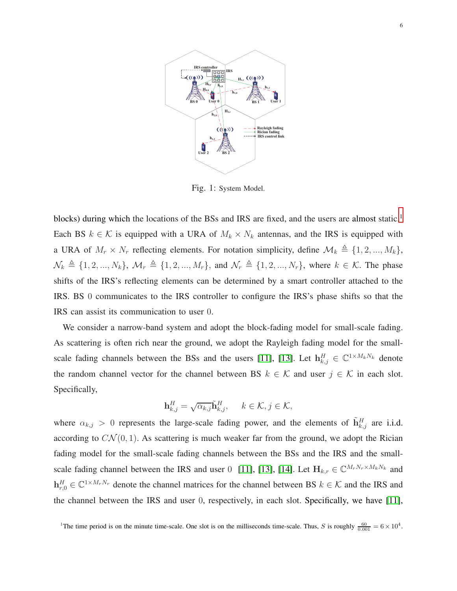<span id="page-5-0"></span>

Fig. 1: System Model.

blocks) during which the locations of the BSs and IRS are fixed, and the users are almost static.<sup>1</sup> Each BS  $k \in \mathcal{K}$  is equipped with a URA of  $M_k \times N_k$  antennas, and the IRS is equipped with a URA of  $M_r \times N_r$  reflecting elements. For notation simplicity, define  $\mathcal{M}_k \triangleq \{1, 2, ..., M_k\}$ ,  $\mathcal{N}_k \triangleq \{1, 2, ..., N_k\}, \ \mathcal{M}_r \triangleq \{1, 2, ..., M_r\}, \text{ and } \mathcal{N}_r \triangleq \{1, 2, ..., N_r\}, \text{ where } k \in \mathcal{K}. \text{ The phase}$ shifts of the IRS's reflecting elements can be determined by a smart controller attached to the IRS. BS 0 communicates to the IRS controller to configure the IRS's phase shifts so that the IRS can assist its communication to user 0.

We consider a narrow-band system and adopt the block-fading model for small-scale fading. As scattering is often rich near the ground, we adopt the Rayleigh fading model for the small-scale fading channels between the BSs and the users [\[11\]](#page-32-10), [\[13\]](#page-32-11). Let  $\mathbf{h}_{k,j}^H \in \mathbb{C}^{1 \times M_k N_k}$  denote the random channel vector for the channel between BS  $k \in \mathcal{K}$  and user  $j \in \mathcal{K}$  in each slot. Specifically,

$$
\mathbf{h}_{k,j}^H = \sqrt{\alpha_{k,j}} \tilde{\mathbf{h}}_{k,j}^H, \quad k \in \mathcal{K}, j \in \mathcal{K},
$$

where  $\alpha_{k,j} > 0$  represents the large-scale fading power, and the elements of  $\tilde{\mathbf{h}}_{k,j}^H$  are i.i.d. according to  $CN(0, 1)$ . As scattering is much weaker far from the ground, we adopt the Rician fading model for the small-scale fading channels between the BSs and the IRS and the small-scale fading channel between the IRS and user 0 [\[11\]](#page-32-10), [\[13\]](#page-32-11), [\[14\]](#page-32-12). Let  $H_{k,r} \in \mathbb{C}^{M_r N_r \times M_k N_k}$  and  $\mathbf{h}_{r,0}^H \in \mathbb{C}^{1 \times M_r N_r}$  denote the channel matrices for the channel between BS  $k \in \mathcal{K}$  and the IRS and the channel between the IRS and user 0, respectively, in each slot. Specifically, we have [\[11\]](#page-32-10),

<sup>&</sup>lt;sup>1</sup>The time period is on the minute time-scale. One slot is on the milliseconds time-scale. Thus, S is roughly  $\frac{60}{0.001} = 6 \times 10^4$ .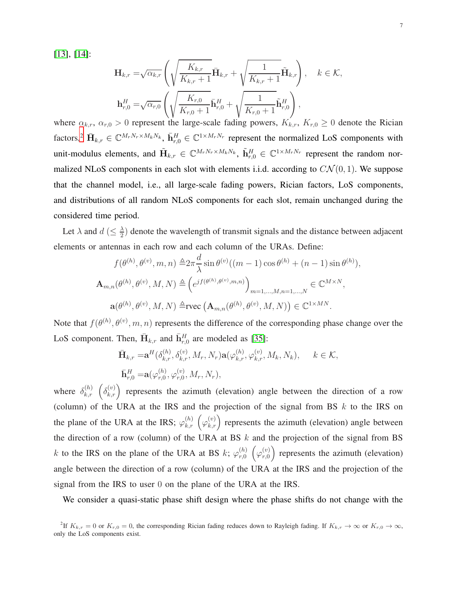[\[13\]](#page-32-11), [\[14\]](#page-32-12):

$$
\mathbf{H}_{k,r} = \sqrt{\alpha_{k,r}} \left( \sqrt{\frac{K_{k,r}}{K_{k,r}+1}} \bar{\mathbf{H}}_{k,r} + \sqrt{\frac{1}{K_{k,r}+1}} \tilde{\mathbf{H}}_{k,r} \right), \quad k \in \mathcal{K},
$$
\n
$$
\mathbf{h}_{r,0}^H = \sqrt{\alpha_{r,0}} \left( \sqrt{\frac{K_{r,0}}{K_{r,0}+1}} \bar{\mathbf{h}}_{r,0}^H + \sqrt{\frac{1}{K_{r,0}+1}} \tilde{\mathbf{h}}_{r,0}^H \right),
$$
\n
$$
\sum_{n=0}^{\infty} \alpha_{n} \alpha_{n} \alpha_{n} \alpha_{n} \left( \sqrt{\frac{K_{r,0}}{K_{r,0}+1}} \bar{\mathbf{h}}_{r,0}^H + \sqrt{\frac{1}{K_{r,0}+1}} \tilde{\mathbf{h}}_{r,0}^H \right), \quad k \in \mathcal{K},
$$

where  $\alpha_{k,r}, \alpha_{r,0} > 0$  represent the large-scale fading powers,  $K_{k,r}, K_{r,0} \ge 0$  denote the Rician factors,<sup>2</sup>  $\bar{\mathbf{H}}_{k,r} \in \mathbb{C}^{M_r N_r \times M_k N_k}$ ,  $\bar{\mathbf{h}}_{r,0}^H \in \mathbb{C}^{1 \times M_r N_r}$  represent the normalized LoS components with unit-modulus elements, and  $\tilde{H}_{k,r} \in \mathbb{C}^{M_rN_r \times M_kN_k}$ ,  $\tilde{h}_{r,0}^H \in \mathbb{C}^{1 \times M_rN_r}$  represent the random normalized NLoS components in each slot with elements i.i.d. according to  $CN(0, 1)$ . We suppose that the channel model, i.e., all large-scale fading powers, Rician factors, LoS components, and distributions of all random NLoS components for each slot, remain unchanged during the considered time period.

Let  $\lambda$  and  $d \leq \frac{\lambda}{2}$  $\frac{\lambda}{2}$ ) denote the wavelength of transmit signals and the distance between adjacent elements or antennas in each row and each column of the URAs. Define:

$$
f(\theta^{(h)}, \theta^{(v)}, m, n) \triangleq 2\pi \frac{d}{\lambda} \sin \theta^{(v)}((m-1)\cos \theta^{(h)} + (n-1)\sin \theta^{(h)}),
$$
  

$$
\mathbf{A}_{m,n}(\theta^{(h)}, \theta^{(v)}, M, N) \triangleq (e^{if(\theta^{(h)}, \theta^{(v)}, m, n)})_{m=1,\dots,M,n=1,\dots,N} \in \mathbb{C}^{M \times N},
$$
  

$$
\mathbf{a}(\theta^{(h)}, \theta^{(v)}, M, N) \triangleq \text{rvec}(\mathbf{A}_{m,n}(\theta^{(h)}, \theta^{(v)}, M, N)) \in \mathbb{C}^{1 \times MN}.
$$

Note that  $f(\theta^{(h)}, \theta^{(v)}, m, n)$  represents the difference of the corresponding phase change over the LoS component. Then,  $\bar{\mathbf{H}}_{k,r}$  and  $\bar{\mathbf{h}}_{r,0}^{H}$  are modeled as [\[35\]](#page-34-0):

$$
\bar{\mathbf{H}}_{k,r} = \mathbf{a}^{H}(\delta_{k,r}^{(h)}, \delta_{k,r}^{(v)}, M_{r}, N_{r})\mathbf{a}(\varphi_{k,r}^{(h)}, \varphi_{k,r}^{(v)}, M_{k}, N_{k}), \quad k \in \mathcal{K},
$$
  
\n
$$
\bar{\mathbf{h}}_{r,0}^{H} = \mathbf{a}(\varphi_{r,0}^{(h)}, \varphi_{r,0}^{(v)}, M_{r}, N_{r}),
$$

where  $\delta_{k,r}^{(h)}$   $(\delta_{k,r}^{(v)})$  represents the azimuth (elevation) angle between the direction of a row (column) of the URA at the IRS and the projection of the signal from BS  $k$  to the IRS on the plane of the URA at the IRS;  $\varphi_{k,r}^{(h)}(\varphi_{k,r}^{(v)})$  represents the azimuth (elevation) angle between the direction of a row (column) of the URA at BS  $k$  and the projection of the signal from BS k to the IRS on the plane of the URA at BS k;  $\varphi_{r,0}^{(h)}$  $\binom{h}{r,0}$   $\left(\varphi_{r,0}^{(v)}\right)$  $\binom{v}{r,0}$  represents the azimuth (elevation) angle between the direction of a row (column) of the URA at the IRS and the projection of the signal from the IRS to user 0 on the plane of the URA at the IRS.

We consider a quasi-static phase shift design where the phase shifts do not change with the

<sup>&</sup>lt;sup>2</sup>If  $K_{k,r} = 0$  or  $K_{r,0} = 0$ , the corresponding Rician fading reduces down to Rayleigh fading. If  $K_{k,r} \to \infty$  or  $K_{r,0} \to \infty$ , only the LoS components exist.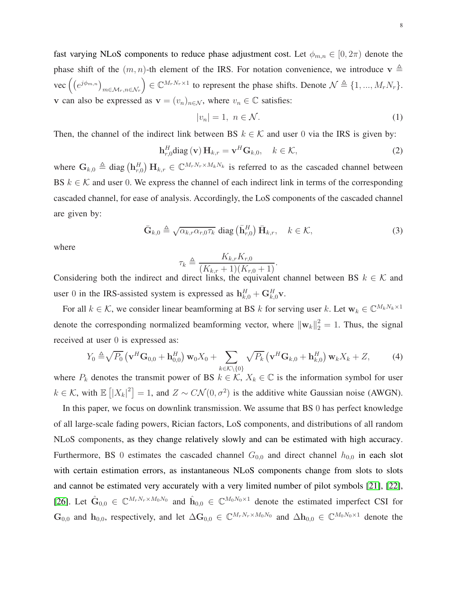<span id="page-7-0"></span>8

fast varying NLoS components to reduce phase adjustment cost. Let  $\phi_{m,n} \in [0, 2\pi)$  denote the phase shift of the  $(m, n)$ -th element of the IRS. For notation convenience, we introduce  $\mathbf{v} \triangleq$  $\text{vec} \left( \left( e^{j \phi_{m,n}} \right)_{m \in \mathcal{M}_r, n \in \mathcal{N}_r} \right)$  $\Big) \in \mathbb{C}^{M_r N_r \times 1}$  to represent the phase shifts. Denote  $\mathcal{N} \triangleq \{1, ..., M_r N_r\}.$ v can also be expressed as  $\mathbf{v} = (v_n)_{n \in \mathcal{N}}$ , where  $v_n \in \mathbb{C}$  satisfies:

$$
|v_n| = 1, \ n \in \mathcal{N}.\tag{1}
$$

Then, the channel of the indirect link between BS  $k \in \mathcal{K}$  and user 0 via the IRS is given by:

$$
\mathbf{h}_{r,0}^{H} \text{diag}(\mathbf{v}) \, \mathbf{H}_{k,r} = \mathbf{v}^{H} \mathbf{G}_{k,0}, \quad k \in \mathcal{K}, \tag{2}
$$

where  $G_{k,0} \triangleq$  diag  $(h_{r,0}^H)$   $H_{k,r} \in \mathbb{C}^{M_r N_r \times M_k N_k}$  is referred to as the cascaded channel between BS  $k \in \mathcal{K}$  and user 0. We express the channel of each indirect link in terms of the corresponding cascaded channel, for ease of analysis. Accordingly, the LoS components of the cascaded channel are given by:

$$
\bar{\mathbf{G}}_{k,0} \triangleq \sqrt{\alpha_{k,r}\alpha_{r,0}\tau_k} \text{ diag}\left(\bar{\mathbf{h}}_{r,0}^H\right)\bar{\mathbf{H}}_{k,r}, \quad k \in \mathcal{K}, \tag{3}
$$

where

$$
\tau_k \triangleq \frac{K_{k,r}K_{r,0}}{(K_{k,r}+1)(K_{r,0}+1)}.
$$

Considering both the indirect and direct links, the equivalent channel between BS  $k \in \mathcal{K}$  and user 0 in the IRS-assisted system is expressed as  $\mathbf{h}_{k,0}^H + \mathbf{G}_{k,0}^H \mathbf{v}$ .

For all  $k \in \mathcal{K}$ , we consider linear beamforming at BS k for serving user k. Let  $\mathbf{w}_k \in \mathbb{C}^{M_k N_k \times 1}$ denote the corresponding normalized beamforming vector, where  $\|\mathbf{w}_k\|^2 = 1$ . Thus, the signal received at user 0 is expressed as:

$$
Y_0 \triangleq \sqrt{P_0} \left( \mathbf{v}^H \mathbf{G}_{0,0} + \mathbf{h}_{0,0}^H \right) \mathbf{w}_0 X_0 + \sum_{k \in \mathcal{K} \setminus \{0\}} \sqrt{P_k} \left( \mathbf{v}^H \mathbf{G}_{k,0} + \mathbf{h}_{k,0}^H \right) \mathbf{w}_k X_k + Z, \tag{4}
$$

where  $P_k$  denotes the transmit power of BS  $k \in \mathcal{K}$ ,  $X_k \in \mathbb{C}$  is the information symbol for user  $k \in \mathcal{K}$ , with  $\mathbb{E} [ |X_k|^2 ] = 1$ , and  $Z \sim C\mathcal{N}(0, \sigma^2)$  is the additive white Gaussian noise (AWGN).

In this paper, we focus on downlink transmission. We assume that BS 0 has perfect knowledge of all large-scale fading powers, Rician factors, LoS components, and distributions of all random NLoS components, as they change relatively slowly and can be estimated with high accuracy. Furthermore, BS 0 estimates the cascaded channel  $G_{0,0}$  and direct channel  $h_{0,0}$  in each slot with certain estimation errors, as instantaneous NLoS components change from slots to slots and cannot be estimated very accurately with a very limited number of pilot symbols [\[21\]](#page-33-6), [\[22\]](#page-33-10), [\[26\]](#page-33-4). Let  $\hat{G}_{0,0} \in \mathbb{C}^{M_r N_r \times M_0 N_0}$  and  $\hat{h}_{0,0} \in \mathbb{C}^{M_0 N_0 \times 1}$  denote the estimated imperfect CSI for  $\mathbf{G}_{0,0}$  and  $\mathbf{h}_{0,0}$ , respectively, and let  $\Delta\mathbf{G}_{0,0} \in \mathbb{C}^{M_rN_r \times M_0N_0}$  and  $\Delta\mathbf{h}_{0,0} \in \mathbb{C}^{M_0N_0 \times 1}$  denote the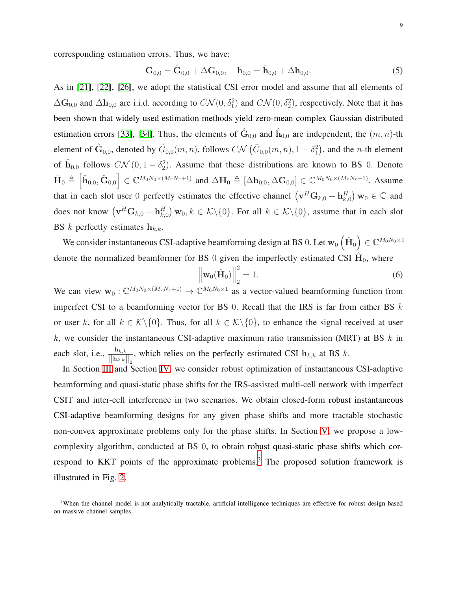corresponding estimation errors. Thus, we have:

<span id="page-8-1"></span>
$$
\mathbf{G}_{0,0} = \hat{\mathbf{G}}_{0,0} + \Delta \mathbf{G}_{0,0}, \quad \mathbf{h}_{0,0} = \hat{\mathbf{h}}_{0,0} + \Delta \mathbf{h}_{0,0}.
$$
 (5)

As in [\[21\]](#page-33-6), [\[22\]](#page-33-10), [\[26\]](#page-33-4), we adopt the statistical CSI error model and assume that all elements of  $\Delta\mathbf{G}_{0,0}$  and  $\Delta\mathbf{h}_{0,0}$  are i.i.d. according to  $C\mathcal{N}(0,\delta_1^2)$  and  $C\mathcal{N}(0,\delta_2^2)$ , respectively. Note that it has been shown that widely used estimation methods yield zero-mean complex Gaussian distributed estimation errors [\[33\]](#page-33-11), [\[34\]](#page-33-12). Thus, the elements of  $\hat{G}_{0,0}$  and  $\hat{h}_{0,0}$  are independent, the  $(m, n)$ -th element of  $\hat{G}_{0,0}$ , denoted by  $\hat{G}_{0,0}(m,n)$ , follows  $C\mathcal{N}(\bar{G}_{0,0}(m,n), 1 - \delta_1^2)$ , and the *n*-th element of  $\hat{h}_{0,0}$  follows  $C\mathcal{N}(0,1-\delta_2^2)$ . Assume that these distributions are known to BS 0. Denote  $\hat{\mathbf{H}}_0 \triangleq \begin{bmatrix} \hat{\mathbf{h}}_{0,0}, \hat{\mathbf{G}}_{0,0} \end{bmatrix} \in \mathbb{C}^{M_0N_0 \times (M_rN_r+1)}$  and  $\Delta \mathbf{H}_0 \triangleq [\Delta \mathbf{h}_{0,0}, \Delta \mathbf{G}_{0,0}] \in \mathbb{C}^{M_0N_0 \times (M_rN_r+1)}$ . Assume that in each slot user 0 perfectly estimates the effective channel  $(\mathbf{v}^H \mathbf{G}_{k,0} + \mathbf{h}^H_{k,0}) \mathbf{w}_0 \in \mathbb{C}$  and does not know  $(\mathbf{v}^H \mathbf{G}_{k,0} + \mathbf{h}^H_{k,0}) \mathbf{w}_0, k \in \mathcal{K} \setminus \{0\}$ . For all  $k \in \mathcal{K} \setminus \{0\}$ , assume that in each slot BS k perfectly estimates  $h_{k,k}$ .

We consider instantaneous CSI-adaptive beamforming design at BS 0. Let  $w_0\left(\hat{\mathbf{H}}_0\right) \in \mathbb{C}^{M_0N_0 \times 1}$ denote the normalized beamformer for BS 0 given the imperfectly estimated CSI  $\hat{H}_0$ , where

<span id="page-8-0"></span>
$$
\left\| \mathbf{w}_0(\hat{\mathbf{H}}_0) \right\|_2^2 = 1.
$$
 (6)

We can view  $\mathbf{w}_0: \mathbb{C}^{M_0N_0 \times (M_rN_r+1)} \to \mathbb{C}^{M_0N_0 \times 1}$  as a vector-valued beamforming function from imperfect CSI to a beamforming vector for BS 0. Recall that the IRS is far from either BS  $k$ or user k, for all  $k \in \mathcal{K}\backslash\{0\}$ . Thus, for all  $k \in \mathcal{K}\backslash\{0\}$ , to enhance the signal received at user k, we consider the instantaneous CSI-adaptive maximum ratio transmission (MRT) at BS  $k$  in each slot, i.e.,  $\frac{\mathbf{h}_{k,k}}{\mathbf{h}_{k,k}}$  $\left\Vert \ln_{k,k}\right\Vert _{2}$ , which relies on the perfectly estimated CSI  $h_{k,k}$  at BS  $k$ .

In Section [III](#page-9-0) and Section [IV,](#page-11-0) we consider robust optimization of instantaneous CSI-adaptive beamforming and quasi-static phase shifts for the IRS-assisted multi-cell network with imperfect CSIT and inter-cell interference in two scenarios. We obtain closed-form robust instantaneous CSI-adaptive beamforming designs for any given phase shifts and more tractable stochastic non-convex approximate problems only for the phase shifts. In Section [V,](#page-17-0) we propose a lowcomplexity algorithm, conducted at BS 0, to obtain robust quasi-static phase shifts which correspond to KKT points of the approximate problems.<sup>3</sup> The proposed solution framework is illustrated in Fig. [2.](#page-9-1)

<sup>&</sup>lt;sup>3</sup>When the channel model is not analytically tractable, artificial intelligence techniques are effective for robust design based on massive channel samples.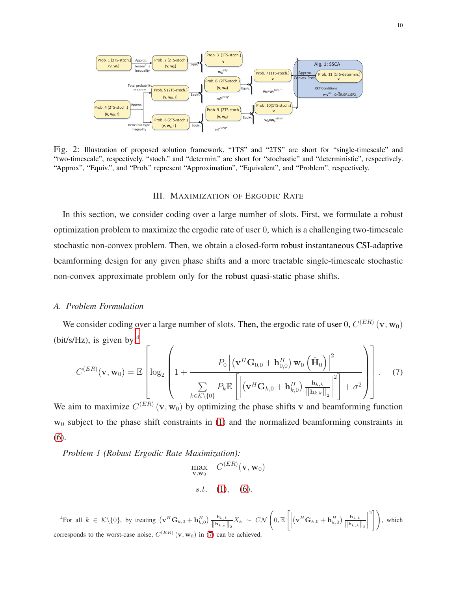<span id="page-9-1"></span>

<span id="page-9-0"></span>Fig. 2: Illustration of proposed solution framework. "1TS" and "2TS" are short for "single-timescale" and "two-timescale", respectively. "stoch." and "determin." are short for "stochastic" and "deterministic", respectively. "Approx", "Equiv.", and "Prob." represent "Approximation", "Equivalent", and "Problem", respectively.

#### III. MAXIMIZATION OF ERGODIC RATE

In this section, we consider coding over a large number of slots. First, we formulate a robust optimization problem to maximize the ergodic rate of user 0, which is a challenging two-timescale stochastic non-convex problem. Then, we obtain a closed-form robust instantaneous CSI-adaptive beamforming design for any given phase shifts and a more tractable single-timescale stochastic non-convex approximate problem only for the robust quasi-static phase shifts.

## *A. Problem Formulation*

We consider coding over a large number of slots. Then, the ergodic rate of user  $0, C^{(ER)} (\mathbf{v}, \mathbf{w}_0)$ (bit/s/Hz), is given by:<sup>4</sup>

$$
C^{(ER)}(\mathbf{v}, \mathbf{w}_0) = \mathbb{E}\left[\log_2\left(1 + \frac{P_0 \left| (\mathbf{v}^H \mathbf{G}_{0,0} + \mathbf{h}_{0,0}^H) \mathbf{w}_0 \left(\hat{\mathbf{H}}_0\right) \right|^2}{\sum_{k \in \mathcal{K} \setminus \{0\}} P_k \mathbb{E}\left[\left| (\mathbf{v}^H \mathbf{G}_{k,0} + \mathbf{h}_{k,0}^H) \frac{\mathbf{h}_{k,k}}{\|\mathbf{h}_{k,k}\|_2}\right|^2\right] + \sigma^2}\right)\right].
$$
\n(7)

We aim to maximize  $C^{(ER)}(\mathbf{v}, \mathbf{w}_0)$  by optimizing the phase shifts v and beamforming function  $w_0$  subject to the phase shift constraints in [\(1\)](#page-7-0) and the normalized beamforming constraints in [\(6\)](#page-8-0).

<span id="page-9-3"></span>*Problem 1 (Robust Ergodic Rate Maximization):*

<span id="page-9-2"></span>
$$
\max_{\mathbf{v}, \mathbf{w}_0} C^{(ER)}(\mathbf{v}, \mathbf{w}_0)
$$
  
s.t. (1), (6).

<sup>4</sup>For all  $k \in \mathcal{K} \setminus \{0\}$ , by treating  $(\mathbf{v}^H \mathbf{G}_{k,0} + \mathbf{h}_{k,0}^H) \frac{\mathbf{h}_{k,k}}{\|\mathbf{h}_{k,k}\|_2} X_k \sim C\mathcal{N}$  $\Bigg(0,\mathbb{E}\left[\Big|\right.$  $\left(\mathbf{v}^H\mathbf{G}_{k,0} + \mathbf{h}_{k,0}^H\right)\frac{\mathbf{h}_{k,k}}{\left\|\mathbf{h}_{k,k}\right\|_2}$  $\begin{array}{c} \begin{array}{c} \begin{array}{c} \begin{array}{c} \end{array} \\ \end{array} \end{array} \end{array}$  $\binom{2}{1}$ , which corresponds to the worst-case noise,  $C^{(ER)}(\mathbf{v}, \mathbf{w}_0)$  in [\(7\)](#page-9-2) can be achieved.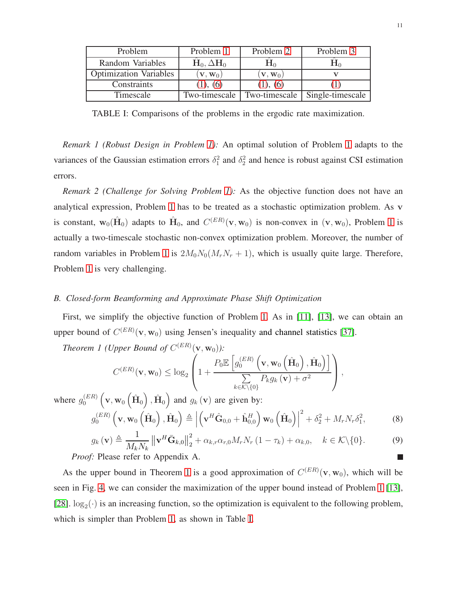<span id="page-10-2"></span>

| Problem                       | Problem 1                  | Problem 2                  | Problem 3        |
|-------------------------------|----------------------------|----------------------------|------------------|
| Random Variables              | $H_0, \Delta H_0$          | ${\bf \Pi}_{0}$            |                  |
| <b>Optimization Variables</b> | $\mathbf{V}, \mathbf{W}_0$ | $\mathbf{V}, \mathbf{W}_0$ |                  |
| Constraints                   | (1), (6)                   | (1), (6)                   |                  |
| Timescale                     | Two-timescale              | Two-timescale              | Single-timescale |

TABLE I: Comparisons of the problems in the ergodic rate maximization.

*Remark 1 (Robust Design in Problem [1\)](#page-9-3):* An optimal solution of Problem [1](#page-9-3) adapts to the variances of the Gaussian estimation errors  $\delta_1^2$  and  $\delta_2^2$  and hence is robust against CSI estimation errors.

*Remark 2 (Challenge for Solving Problem [1\)](#page-9-3):* As the objective function does not have an analytical expression, Problem [1](#page-9-3) has to be treated as a stochastic optimization problem. As v is constant,  $w_0(\hat{H}_0)$  adapts to  $\hat{H}_0$ , and  $C^{(ER)}(v, w_0)$  is non-convex in  $(v, w_0)$ , Problem [1](#page-9-3) is actually a two-timescale stochastic non-convex optimization problem. Moreover, the number of random variables in Problem [1](#page-9-3) is  $2M_0N_0(M_rN_r + 1)$ , which is usually quite large. Therefore, Problem [1](#page-9-3) is very challenging.

## <span id="page-10-3"></span>*B. Closed-form Beamforming and Approximate Phase Shift Optimization*

First, we simplify the objective function of Problem [1.](#page-9-3) As in [\[11\]](#page-32-10), [\[13\]](#page-32-11), we can obtain an upper bound of  $C^{(ER)}(\mathbf{v}, \mathbf{w}_0)$  using Jensen's inequality and channel statistics [\[37\]](#page-34-1).

*Theorem 1 (Upper Bound of*  $C^{(ER)}(\mathbf{v}, \mathbf{w}_0)$ ):

<span id="page-10-1"></span>
$$
C^{(ER)}(\mathbf{v}, \mathbf{w}_0) \leq \log_2 \left( 1 + \frac{P_0 \mathbb{E} \left[ g_0^{(ER)} \left( \mathbf{v}, \mathbf{w}_0 \left( \hat{\mathbf{H}}_0 \right), \hat{\mathbf{H}}_0 \right) \right]}{\sum\limits_{k \in \mathcal{K} \setminus \{0\}} P_k g_k \left( \mathbf{v} \right) + \sigma^2} \right),
$$

where  $g_0^{(ER)}$  $\int_0^{(ER)} \left( \mathbf{v}, \mathbf{w}_0 \left( \hat{\mathbf{H}}_0 \right), \hat{\mathbf{H}}_0 \right)$  and  $g_k(\mathbf{v})$  are given by:

$$
g_0^{(ER)}\left(\mathbf{v}, \mathbf{w}_0\left(\hat{\mathbf{H}}_0\right), \hat{\mathbf{H}}_0\right) \triangleq \left| \left(\mathbf{v}^H \hat{\mathbf{G}}_{0,0} + \hat{\mathbf{h}}_{0,0}^H\right) \mathbf{w}_0\left(\hat{\mathbf{H}}_0\right) \right|^2 + \delta_2^2 + M_r N_r \delta_1^2, \tag{8}
$$

<span id="page-10-0"></span>
$$
g_k(\mathbf{v}) \triangleq \frac{1}{M_k N_k} \left\| \mathbf{v}^H \bar{\mathbf{G}}_{k,0} \right\|_2^2 + \alpha_{k,r} \alpha_{r,0} M_r N_r (1 - \tau_k) + \alpha_{k,0}, \quad k \in \mathcal{K} \setminus \{0\}. \tag{9}
$$
  
  $f: \text{Please refer to Appendix A.}$ 

*Proof:* Please refer to Appendix A.

As the upper bound in Theorem [1](#page-10-1) is a good approximation of  $C^{(ER)}(\mathbf{v}, \mathbf{w}_0)$ , which will be seen in Fig. [4,](#page-23-0) we can consider the maximization of the upper bound instead of Problem [1](#page-9-3) [\[13\]](#page-32-11), [\[28\]](#page-33-13).  $log_2(\cdot)$  is an increasing function, so the optimization is equivalent to the following problem, which is simpler than Problem [1,](#page-9-3) as shown in Table [I.](#page-10-2)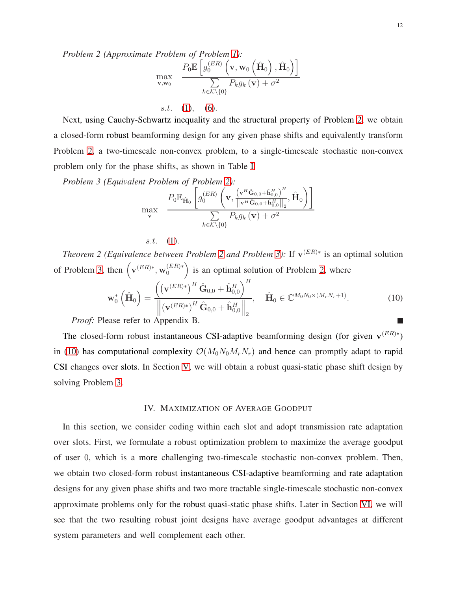$$
\max_{\mathbf{v}, \mathbf{w}_0} \quad \frac{P_0 \mathbb{E}\left[g_0^{(ER)}\left(\mathbf{v}, \mathbf{w}_0\left(\hat{\mathbf{H}}_0\right), \hat{\mathbf{H}}_0\right)\right]}{\sum\limits_{k \in \mathcal{K} \setminus \{0\}} P_k g_k\left(\mathbf{v}\right) + \sigma^2}
$$

Next, using Cauchy-Schwartz inequality and the structural property of Problem [2,](#page-10-0) we obtain a closed-form robust beamforming design for any given phase shifts and equivalently transform Problem [2,](#page-10-0) a two-timescale non-convex problem, to a single-timescale stochastic non-convex problem only for the phase shifts, as shown in Table [I.](#page-10-2)

<span id="page-11-1"></span>s.t.  $(1)$ ,  $(6)$ .

*Problem 3 (Equivalent Problem of Problem [2\)](#page-10-0):*

$$
\max_{\mathbf{v}} \quad \frac{P_0 \mathbb{E}_{\hat{\mathbf{H}}_0} \left[ g_0^{(ER)} \left( \mathbf{v}, \frac{(\mathbf{v}^H \hat{\mathbf{G}}_{0,0} + \hat{\mathbf{h}}_{0,0}^H)^H}{\|\mathbf{v}^H \hat{\mathbf{G}}_{0,0} + \hat{\mathbf{h}}_{0,0}^H\|_2}, \hat{\mathbf{H}}_0 \right) \right]}{\sum\limits_{k \in \mathcal{K} \setminus \{0\}} P_k g_k \left( \mathbf{v} \right) + \sigma^2}
$$

<span id="page-11-2"></span>s.t. [\(1\)](#page-7-0).

<span id="page-11-3"></span>*Theorem [2](#page-10-0) (Equivalence between Problem 2 and Problem [3\)](#page-11-1):* If  $v^{(ER)*}$  is an optimal solution of Problem [3,](#page-11-1) then  $(\mathbf{v}^{(ER)*}, \mathbf{w}_0^{(ER)*})$  is an optimal solution of Problem [2,](#page-10-0) where

$$
\mathbf{w}_{0}^{*}\left(\hat{\mathbf{H}}_{0}\right) = \frac{\left(\left(\mathbf{v}^{(ER)*}\right)^{H}\hat{\mathbf{G}}_{0,0} + \hat{\mathbf{h}}_{0,0}^{H}\right)^{H}}{\left\|\left(\mathbf{v}^{(ER)*}\right)^{H}\hat{\mathbf{G}}_{0,0} + \hat{\mathbf{h}}_{0,0}^{H}\right\|_{2}}, \quad \hat{\mathbf{H}}_{0} \in \mathbb{C}^{M_{0}N_{0} \times (M_{r}N_{r}+1)}.
$$
 (10)

*Proof:* Please refer to Appendix B.

The closed-form robust instantaneous CSI-adaptive beamforming design (for given  $\mathbf{v}^{(ER)*}$ ) in [\(10\)](#page-11-2) has computational complexity  $\mathcal{O}(M_0N_0M_rN_r)$  and hence can promptly adapt to rapid CSI changes over slots. In Section [V,](#page-17-0) we will obtain a robust quasi-static phase shift design by solving Problem [3.](#page-11-1)

#### IV. MAXIMIZATION OF AVERAGE GOODPUT

<span id="page-11-0"></span>In this section, we consider coding within each slot and adopt transmission rate adaptation over slots. First, we formulate a robust optimization problem to maximize the average goodput of user 0, which is a more challenging two-timescale stochastic non-convex problem. Then, we obtain two closed-form robust instantaneous CSI-adaptive beamforming and rate adaptation designs for any given phase shifts and two more tractable single-timescale stochastic non-convex approximate problems only for the robust quasi-static phase shifts. Later in Section [VI,](#page-20-0) we will see that the two resulting robust joint designs have average goodput advantages at different system parameters and well complement each other.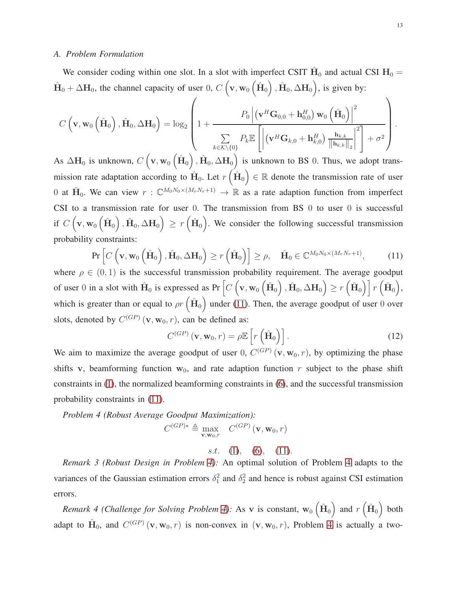#### *A. Problem Formulation*

We consider coding within one slot. In a slot with imperfect CSIT  $\hat{H}_0$  and actual CSI  $H_0 =$  $\hat{H}_0 + \Delta H_0$ , the channel capacity of user 0,  $C(\mathbf{v}, \mathbf{w}_0(\hat{H}_0), \hat{H}_0, \Delta H_0)$ , is given by:

$$
C\left(\mathbf{v}, \mathbf{w}_0\left(\hat{\mathbf{H}}_0\right), \hat{\mathbf{H}}_0, \Delta \mathbf{H}_0\right) = \log_2\left(1 + \frac{P_0 \left| \left(\mathbf{v}^H \mathbf{G}_{0,0} + \mathbf{h}_{0,0}^H\right) \mathbf{w}_0\left(\hat{\mathbf{H}}_0\right) \right|^2}{\sum\limits_{k \in \mathcal{K} \setminus \{0\}} P_k \mathbb{E}\left[\left|\left(\mathbf{v}^H \mathbf{G}_{k,0} + \mathbf{h}_{k,0}^H\right) \frac{\mathbf{h}_{k,k}}{\|\mathbf{h}_{k,k}\|_2}\right|^2\right] + \sigma^2}\right).
$$

As  $\Delta H_0$  is unknown,  $C\left(\mathbf{v}, \mathbf{w}_0\left(\hat{\mathbf{H}}_0\right), \hat{\mathbf{H}}_0, \Delta \mathbf{H}_0\right)$  is unknown to BS 0. Thus, we adopt transmission rate adaptation according to  $\hat{H}_0$ . Let  $r\left(\hat{H}_0\right) \in \mathbb{R}$  denote the transmission rate of user 0 at  $\hat{H}_0$ . We can view  $r: \mathbb{C}^{M_0N_0 \times (M_rN_r+1)} \to \mathbb{R}$  as a rate adaption function from imperfect CSI to a transmission rate for user 0. The transmission from BS 0 to user 0 is successful if  $C\left(\mathbf{v}, \mathbf{w}_{0}\left(\hat{\mathbf{H}}_{0}\right), \hat{\mathbf{H}}_{0}, \Delta \mathbf{H}_{0}\right) \geq r\left(\hat{\mathbf{H}}_{0}\right)$ . We consider the following successful transmission probability constraints:

<span id="page-12-0"></span>
$$
\Pr\left[C\left(\mathbf{v}, \mathbf{w}_0\left(\hat{\mathbf{H}}_0\right), \hat{\mathbf{H}}_0, \Delta \mathbf{H}_0\right) \ge r\left(\hat{\mathbf{H}}_0\right)\right] \ge \rho, \quad \hat{\mathbf{H}}_0 \in \mathbb{C}^{M_0 N_0 \times (M_r N_r + 1)},\tag{11}
$$

where  $\rho \in (0, 1)$  is the successful transmission probability requirement. The average goodput of user 0 in a slot with  $\hat{H}_0$  is expressed as Pr  $\left[C\left(v, w_0\left(\hat{H}_0\right), \hat{H}_0, \Delta H_0\right) \ge r\left(\hat{H}_0\right)\right]r\left(\hat{H}_0\right)$ , which is greater than or equal to  $\rho r\left(\hat{H}_0\right)$  under [\(11\)](#page-12-0). Then, the average goodput of user 0 over slots, denoted by  $C^{(GP)}(\mathbf{v}, \mathbf{w}_0, r)$ , can be defined as:

<span id="page-12-1"></span>
$$
C^{(GP)}(\mathbf{v}, \mathbf{w}_0, r) = \rho \mathbb{E}\left[r\left(\hat{\mathbf{H}}_0\right)\right].
$$
 (12)

We aim to maximize the average goodput of user 0,  $C^{(GP)}(\mathbf{v}, \mathbf{w}_0, r)$ , by optimizing the phase shifts v, beamforming function  $w_0$ , and rate adaption function r subject to the phase shift constraints in [\(1\)](#page-7-0), the normalized beamforming constraints in [\(6\)](#page-8-0), and the successful transmission probability constraints in [\(11\)](#page-12-0).

*Problem 4 (Robust Average Goodput Maximization):*  $C^{(GP)*} \triangleq \max_{\mathbf{v}, \mathbf{w}_0, r} C^{(GP)}(\mathbf{v}, \mathbf{w}_0, r)$ 

s.t. [\(1\)](#page-7-0), [\(6\)](#page-8-0), [\(11\)](#page-12-0).

*Remark 3 (Robust Design in Problem [4\)](#page-12-1):* An optimal solution of Problem [4](#page-12-1) adapts to the variances of the Gaussian estimation errors  $\delta_1^2$  and  $\delta_2^2$  and hence is robust against CSI estimation errors.

*Remark 4 (Challenge for Solving Problem [4\)](#page-12-1):* As v is constant,  $w_0(\hat{H}_0)$  and  $r(\hat{H}_0)$  both adapt to  $\hat{H}_0$ , and  $C^{(GP)}(\mathbf{v}, \mathbf{w}_0, r)$  is non-convex in  $(\mathbf{v}, \mathbf{w}_0, r)$ , Problem [4](#page-12-1) is actually a two-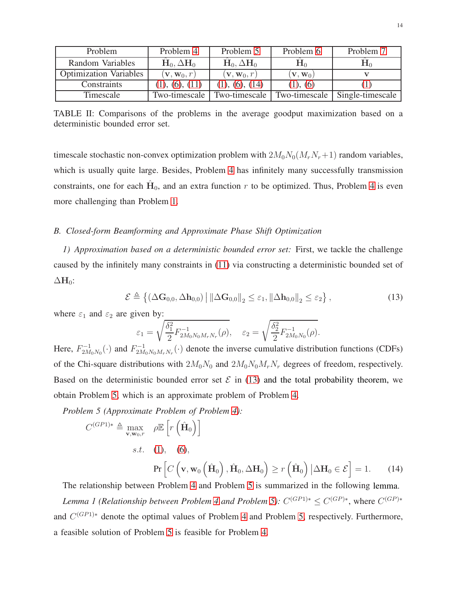<span id="page-13-3"></span>

| Problem                       | Problem 4                     | Problem 5                     | Problem 6                   | Problem 7        |
|-------------------------------|-------------------------------|-------------------------------|-----------------------------|------------------|
| Random Variables              | $H_0, \Delta H_0$             | $H_0, \Delta H_0$             | $\mathbf{H}^0$              | ${\bf H}^0$      |
| <b>Optimization Variables</b> | $(\mathbf{v},\mathbf{w}_0,r)$ | $(\mathbf{v},\mathbf{w}_0,r)$ | $(\mathbf{v},\mathbf{w}_0)$ |                  |
| Constraints                   | (1), (6), (11)                | (6), (14)                     | (1), (6)                    |                  |
| Timescale                     | Two-timescale                 | Two-timescale                 | Two-timescale               | Single-timescale |

TABLE II: Comparisons of the problems in the average goodput maximization based on a deterministic bounded error set.

timescale stochastic non-convex optimization problem with  $2M_0N_0(M_rN_r+1)$  random variables, which is usually quite large. Besides, Problem [4](#page-12-1) has infinitely many successfully transmission constraints, one for each  $\hat{H}_0$ , and an extra function r to be optimized. Thus, Problem [4](#page-12-1) is even more challenging than Problem [1.](#page-9-3)

## <span id="page-13-4"></span>*B. Closed-form Beamforming and Approximate Phase Shift Optimization*

*1) Approximation based on a deterministic bounded error set:* First, we tackle the challenge caused by the infinitely many constraints in [\(11\)](#page-12-0) via constructing a deterministic bounded set of  $\Delta H_0$ :

$$
\mathcal{E} \triangleq \left\{ \left( \Delta \mathbf{G}_{0,0}, \Delta \mathbf{h}_{0,0} \right) \middle| \left\| \Delta \mathbf{G}_{0,0} \right\|_2 \leq \varepsilon_1, \left\| \Delta \mathbf{h}_{0,0} \right\|_2 \leq \varepsilon_2 \right\},\tag{13}
$$

where  $\varepsilon_1$  and  $\varepsilon_2$  are given by:

<span id="page-13-5"></span><span id="page-13-2"></span><span id="page-13-1"></span><span id="page-13-0"></span>
$$
\varepsilon_1 = \sqrt{\frac{\delta_1^2}{2} F_{2M_0N_0M_rN_r}^{-1}(\rho)}, \quad \varepsilon_2 = \sqrt{\frac{\delta_2^2}{2} F_{2M_0N_0}^{-1}(\rho)}.
$$

Here,  $F_{2M_0N_0}^{-1}(\cdot)$  and  $F_{2M_0N_0M_rN_r}^{-1}(\cdot)$  denote the inverse cumulative distribution functions (CDFs) of the Chi-square distributions with  $2M_0N_0$  and  $2M_0N_0M_rN_r$  degrees of freedom, respectively. Based on the deterministic bounded error set  $\mathcal E$  in [\(13\)](#page-13-2) and the total probability theorem, we obtain Problem [5,](#page-13-0) which is an approximate problem of Problem [4.](#page-12-1)

*Problem 5 (Approximate Problem of Problem [4\)](#page-12-1):*

$$
C^{(GP1)*} \triangleq \max_{\mathbf{v}, \mathbf{w}_0, r} \rho \mathbb{E}\left[r\left(\hat{\mathbf{H}}_0\right)\right]
$$
  
s.t. (1), (6),  

$$
\Pr\left[C\left(\mathbf{v}, \mathbf{w}_0\left(\hat{\mathbf{H}}_0\right), \hat{\mathbf{H}}_0, \Delta \mathbf{H}_0\right) \ge r\left(\hat{\mathbf{H}}_0\right) | \Delta \mathbf{H}_0 \in \mathcal{E}\right] = 1.
$$
 (14)

The relationship between Problem [4](#page-12-1) and Problem [5](#page-13-0) is summarized in the following lemma. *Lemma 1 (Relationship between Problem [4](#page-12-1) and Problem [5\)](#page-13-0):*  $C^{(GP1)*} \leq C^{(GP)*}$ , where  $C^{(GP)*}$ and  $C^{(GP1)*}$  denote the optimal values of Problem [4](#page-12-1) and Problem [5,](#page-13-0) respectively. Furthermore, a feasible solution of Problem [5](#page-13-0) is feasible for Problem [4.](#page-12-1)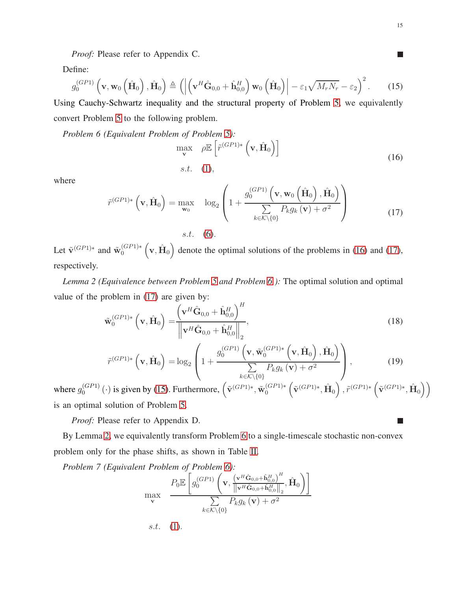<span id="page-14-4"></span><span id="page-14-3"></span><span id="page-14-2"></span> $\Box$ 

<span id="page-14-7"></span><span id="page-14-6"></span>L.

*Proof:* Please refer to Appendix C.

Define:

$$
g_0^{(GP1)}\left(\mathbf{v}, \mathbf{w}_0\left(\hat{\mathbf{H}}_0\right), \hat{\mathbf{H}}_0\right) \triangleq \left( \left| \left(\mathbf{v}^H \hat{\mathbf{G}}_{0,0} + \hat{\mathbf{h}}_{0,0}^H\right) \mathbf{w}_0\left(\hat{\mathbf{H}}_0\right) \right| - \varepsilon_1 \sqrt{M_r N_r} - \varepsilon_2 \right)^2.
$$
 (15)

Using Cauchy-Schwartz inequality and the structural property of Problem [5,](#page-13-0) we equivalently convert Problem [5](#page-13-0) to the following problem.

*Problem 6 (Equivalent Problem of Problem [5\)](#page-13-0):*

<span id="page-14-0"></span>
$$
\max_{\mathbf{v}} \quad \rho \mathbb{E}\left[\tilde{r}^{(GP1)*}\left(\mathbf{v}, \hat{\mathbf{H}}_0\right)\right]
$$
\ns.t.

\n
$$
(16)
$$

where

$$
\tilde{r}^{(GP1)*}\left(\mathbf{v}, \hat{\mathbf{H}}_0\right) = \max_{\mathbf{w}_0} \quad \log_2\left(1 + \frac{g_0^{(GP1)}\left(\mathbf{v}, \mathbf{w}_0\left(\hat{\mathbf{H}}_0\right), \hat{\mathbf{H}}_0\right)}{\sum\limits_{k \in \mathcal{K} \setminus \{0\}} P_k g_k\left(\mathbf{v}\right) + \sigma^2}\right)
$$
\n(17)

<span id="page-14-5"></span>Let  $\tilde{\mathbf{v}}^{(GP1)*}$  and  $\tilde{\mathbf{w}}_0^{(GP1)*}(\mathbf{v}, \hat{\mathbf{H}}_0)$  denote the optimal solutions of the problems in [\(16\)](#page-14-2) and [\(17\)](#page-14-3), respectively.

*Lemma 2 (Equivalence between Problem [5](#page-13-0) and Problem [6](#page-14-0) ):* The optimal solution and optimal value of the problem in [\(17\)](#page-14-3) are given by:

$$
\tilde{\mathbf{w}}_0^{(GP1)*}\left(\mathbf{v}, \hat{\mathbf{H}}_0\right) = \frac{\left(\mathbf{v}^H \hat{\mathbf{G}}_{0,0} + \hat{\mathbf{h}}_{0,0}^H\right)^H}{\left\|\mathbf{v}^H \hat{\mathbf{G}}_{0,0} + \hat{\mathbf{h}}_{0,0}^H\right\|_2},\tag{18}
$$

$$
\tilde{r}^{(GP1)*}\left(\mathbf{v}, \hat{\mathbf{H}}_0\right) = \log_2\left(1 + \frac{g_0^{(GP1)}\left(\mathbf{v}, \tilde{\mathbf{w}}_0^{(GP1)*}\left(\mathbf{v}, \hat{\mathbf{H}}_0\right), \hat{\mathbf{H}}_0\right)}{\sum\limits_{k \in \mathcal{K} \setminus \{0\}} P_k g_k\left(\mathbf{v}\right) + \sigma^2}\right),\tag{19}
$$

where  $g_0^{(GP1)}$  $\left( \tilde{\mathbf{G}}^{(P1)} \left( \cdot \right)$  is given by [\(15\)](#page-14-4). Furthermore,  $\left( \tilde{\mathbf{v}}^{(GP1)*}, \tilde{\mathbf{w}}_0^{(GP1)*} \left( \tilde{\mathbf{v}}^{(GP1)*}, \hat{\mathbf{H}}_0 \right), \tilde{r}^{(GP1)*} \left( \tilde{\mathbf{v}}^{(GP1)*}, \hat{\mathbf{H}}_0 \right) \right)$ is an optimal solution of Problem [5.](#page-13-0)

*Proof:* Please refer to Appendix D.

By Lemma [2,](#page-14-5) we equivalently transform Problem [6](#page-14-0) to a single-timescale stochastic non-convex problem only for the phase shifts, as shown in Table [II.](#page-13-3)

*Problem 7 (Equivalent Problem of Problem [6\)](#page-14-0):*

<span id="page-14-1"></span>
$$
\max_{\mathbf{v}} \quad \frac{P_0 \mathbb{E}\left[g_0^{(GP1)}\left(\mathbf{v}, \frac{\left(\mathbf{v}^H \hat{\mathbf{G}}_{0,0} + \hat{\mathbf{h}}_{0,0}^H\right)^H}{\|\mathbf{v}^H \hat{\mathbf{G}}_{0,0} + \hat{\mathbf{h}}_{0,0}^H\|_2}, \hat{\mathbf{H}}_0\right)\right]}{\sum_{k \in \mathcal{K} \setminus \{0\}} P_k g_k\left(\mathbf{v}\right) + \sigma^2}
$$
\n*s.t.*\n(1).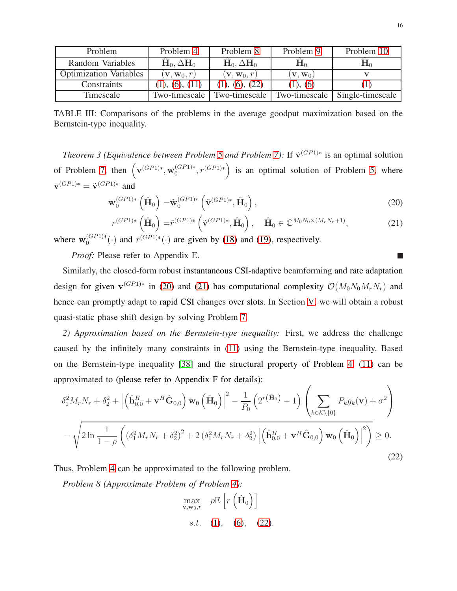<span id="page-15-4"></span>

| Problem                       | Problem 4                       | Problem 8                     | Problem 9                    | Problem 10       |
|-------------------------------|---------------------------------|-------------------------------|------------------------------|------------------|
| Random Variables              | $H_0, \Delta H_0$               | $H_0, \Delta H_0$             | ${\bf n}_0$                  | ${\bf H}^0$      |
| <b>Optimization Variables</b> | $(\mathbf{v}, \mathbf{w}_0, r)$ | $(\mathbf{v},\mathbf{w}_0,r)$ | $(\mathbf{v}, \mathbf{w}_0)$ |                  |
| Constraints                   | (1), (6), (11)                  | (22)<br>(6),                  | (1), (6)                     |                  |
| Timescale                     | Two-timescale                   | Two-timescale                 | Two-timescale                | Single-timescale |

TABLE III: Comparisons of the problems in the average goodput maximization based on the Bernstein-type inequality.

<span id="page-15-5"></span>*Theorem 3 (Equivalence between Problem [5](#page-13-0) and Problem [7\)](#page-14-1):* If  $\tilde{v}^{(GP1)*}$  is an optimal solution of Problem [7,](#page-14-1) then  $(\mathbf{v}^{(GP_1)*}, \mathbf{w}_0^{(GP_1)*}, r^{(GP_1)*})$  is an optimal solution of Problem [5,](#page-13-0) where  $\mathbf{v}^{(GP1)*} = \tilde{\mathbf{v}}^{(GP1)*}$  and

$$
\mathbf{w}_0^{(GP1)*}\left(\hat{\mathbf{H}}_0\right) = \tilde{\mathbf{w}}_0^{(GP1)*}\left(\tilde{\mathbf{v}}^{(GP1)*}, \hat{\mathbf{H}}_0\right),\tag{20}
$$

$$
r^{(GP1)*}\left(\hat{\mathbf{H}}_0\right) = \tilde{r}^{(GP1)*}\left(\tilde{\mathbf{v}}^{(GP1)*}, \hat{\mathbf{H}}_0\right), \quad \hat{\mathbf{H}}_0 \in \mathbb{C}^{M_0N_0 \times (M_rN_r+1)},\tag{21}
$$

where  $\mathbf{w}_0^{(GP1)*}(\cdot)$  and  $r^{(GP1)*}(\cdot)$  are given by [\(18\)](#page-14-6) and [\(19\)](#page-14-7), respectively.

*Proof:* Please refer to Appendix E.

Similarly, the closed-form robust instantaneous CSI-adaptive beamforming and rate adaptation design for given  $\mathbf{v}^{(GP1)*}$  in [\(20\)](#page-15-2) and [\(21\)](#page-15-3) has computational complexity  $\mathcal{O}(M_0N_0M_rN_r)$  and hence can promptly adapt to rapid CSI changes over slots. In Section [V,](#page-17-0) we will obtain a robust quasi-static phase shift design by solving Problem [7.](#page-14-1)

*2) Approximation based on the Bernstein-type inequality:* First, we address the challenge caused by the infinitely many constraints in [\(11\)](#page-12-0) using the Bernstein-type inequality. Based on the Bernstein-type inequality [\[38\]](#page-34-2) and the structural property of Problem [4,](#page-12-1) [\(11\)](#page-12-0) can be approximated to (please refer to Appendix F for details):

$$
\delta_1^2 M_r N_r + \delta_2^2 + \left| \left( \hat{\mathbf{h}}_{0,0}^H + \mathbf{v}^H \hat{\mathbf{G}}_{0,0} \right) \mathbf{w}_0 \left( \hat{\mathbf{H}}_0 \right) \right|^2 - \frac{1}{P_0} \left( 2^{r(\hat{\mathbf{H}}_0)} - 1 \right) \left( \sum_{k \in \mathcal{K} \setminus \{0\}} P_k g_k(\mathbf{v}) + \sigma^2 \right) - \sqrt{2 \ln \frac{1}{1 - \rho} \left( \left( \delta_1^2 M_r N_r + \delta_2^2 \right)^2 + 2 \left( \delta_1^2 M_r N_r + \delta_2^2 \right) \left| \left( \hat{\mathbf{h}}_{0,0}^H + \mathbf{v}^H \hat{\mathbf{G}}_{0,0} \right) \mathbf{w}_0 \left( \hat{\mathbf{H}}_0 \right) \right|^2 \right)} \ge 0.
$$
\n(22)

Thus, Problem [4](#page-12-1) can be approximated to the following problem.

*Problem 8 (Approximate Problem of Problem [4\)](#page-12-1):*

<span id="page-15-0"></span>
$$
\max_{\mathbf{v}, \mathbf{w}_0, r} \quad \rho \mathbb{E}\left[r\left(\hat{\mathbf{H}}_0\right)\right]
$$
\n*s.t.* (1), (6), (22).

<span id="page-15-3"></span><span id="page-15-2"></span><span id="page-15-1"></span>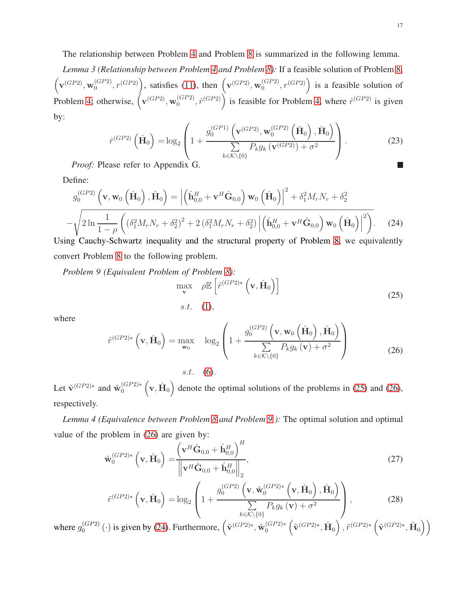The relationship between Problem [4](#page-12-1) and Problem [8](#page-15-0) is summarized in the following lemma.

*Lemma 3 (Relationship between Problem [4](#page-12-1) and Problem [8\)](#page-15-0):* If a feasible solution of Problem [8,](#page-15-0)  $\left(\mathbf{v}^{(GP2)}, \mathbf{w}_0^{(GP2)}\right)$  $\binom{(GP2)}{0}$ ,  $r(GP2)$ , satisfies [\(11\)](#page-12-0), then  $\left(\mathbf{v}^{(GP2)}, \mathbf{w}_{0}^{(GP2)}\right)$  $\binom{(GP2)}{0}$ ,  $r(GP2)$  is a feasible solution of Problem [4;](#page-12-1) otherwise,  $(\mathbf{v}^{(GP2)}, \mathbf{w}_0^{(GP2)})$  $\binom{(GP2)}{0}$ ,  $\hat{r}^{(GP2)}$  is feasible for Problem [4,](#page-12-1) where  $\hat{r}^{(GP2)}$  is given by:

<span id="page-16-7"></span>
$$
\hat{r}^{(GP2)}\left(\hat{\mathbf{H}}_{0}\right) = \log_{2}\left(1 + \frac{g_{0}^{(GP1)}\left(\mathbf{v}^{(GP2)}, \mathbf{w}_{0}^{(GP2)}\left(\hat{\mathbf{H}}_{0}\right), \hat{\mathbf{H}}_{0}\right)}{\sum\limits_{k \in \mathcal{K} \setminus \{0\}} P_{k}g_{k}\left(\mathbf{v}^{(GP2)}\right) + \sigma^{2}}\right).
$$
\n(23)

*Proof:* Please refer to Appendix G.

Define:

$$
g_0^{(GP2)}\left(\mathbf{v}, \mathbf{w}_0\left(\hat{\mathbf{H}}_0\right), \hat{\mathbf{H}}_0\right) = \left|\left(\hat{\mathbf{h}}_{0,0}^H + \mathbf{v}^H \hat{\mathbf{G}}_{0,0}\right) \mathbf{w}_0\left(\hat{\mathbf{H}}_0\right)\right|^2 + \delta_1^2 M_r N_r + \delta_2^2
$$

$$
-\sqrt{2\ln\frac{1}{1-\rho}\left((\delta_1^2 M_r N_r + \delta_2^2)^2 + 2\left(\delta_1^2 M_r N_r + \delta_2^2\right)\left|\left(\hat{\mathbf{h}}_{0,0}^H + \mathbf{v}^H \hat{\mathbf{G}}_{0,0}\right) \mathbf{w}_0\left(\hat{\mathbf{H}}_0\right)\right|^2\right)}.
$$
 (24)

Using Cauchy-Schwartz inequality and the structural property of Problem [8,](#page-15-0) we equivalently convert Problem [8](#page-15-0) to the following problem.

*Problem 9 (Equivalent Problem of Problem [8\)](#page-15-0):*

<span id="page-16-5"></span><span id="page-16-3"></span><span id="page-16-2"></span><span id="page-16-1"></span><span id="page-16-0"></span>
$$
\max_{\mathbf{v}} \quad \rho \mathbb{E}\left[\tilde{r}^{(GP2)*}\left(\mathbf{v}, \hat{\mathbf{H}}_0\right)\right]
$$
\n
$$
s.t. \quad (1), \tag{25}
$$

where

$$
\tilde{r}^{(GP2)*}\left(\mathbf{v}, \hat{\mathbf{H}}_0\right) = \max_{\mathbf{w}_0} \quad \log_2\left(1 + \frac{g_0^{(GP2)}\left(\mathbf{v}, \mathbf{w}_0\left(\hat{\mathbf{H}}_0\right), \hat{\mathbf{H}}_0\right)}{\sum\limits_{k \in \mathcal{K} \setminus \{0\}} P_k g_k\left(\mathbf{v}\right) + \sigma^2}\right)
$$
\n(26)

<span id="page-16-4"></span>Let  $\tilde{v}^{(GP2)*}$  and  $\tilde{w}_0^{(GP2)*} (v, \hat{H}_0)$  denote the optimal solutions of the problems in [\(25\)](#page-16-1) and [\(26\)](#page-16-2), respectively.

*Lemma 4 (Equivalence between Problem [8](#page-15-0) and Problem [9](#page-16-0) ):* The optimal solution and optimal value of the problem in [\(26\)](#page-16-2) are given by:

$$
\tilde{\mathbf{w}}_0^{(GP2)*}\left(\mathbf{v}, \hat{\mathbf{H}}_0\right) = \frac{\left(\mathbf{v}^H \hat{\mathbf{G}}_{0,0} + \hat{\mathbf{h}}_{0,0}^H\right)^H}{\left\|\mathbf{v}^H \hat{\mathbf{G}}_{0,0} + \hat{\mathbf{h}}_{0,0}^H\right\|_2},\tag{27}
$$

<span id="page-16-6"></span>
$$
\tilde{r}^{(GP2)*}\left(\mathbf{v}, \hat{\mathbf{H}}_0\right) = \log_2\left(1 + \frac{g_0^{(GP2)}\left(\mathbf{v}, \tilde{\mathbf{w}}_0^{(GP2)*}\left(\mathbf{v}, \hat{\mathbf{H}}_0\right), \hat{\mathbf{H}}_0\right)}{\sum\limits_{k \in \mathcal{K} \setminus \{0\}} P_k g_k\left(\mathbf{v}\right) + \sigma^2}\right),\tag{28}
$$

where  $g_0^{(GP2)}$  $\left( \tilde{\mathbf{G}}^{(CP2)}\left( \cdot \right)$  is given by [\(24\)](#page-16-3). Furthermore,  $\left( \tilde{\mathbf{v}}^{(GP2)*}, \tilde{\mathbf{w}}_0^{(GP2)*} \left( \tilde{\mathbf{v}}^{(GP2)*}, \hat{\mathbf{H}}_0 \right), \tilde{r}^{(GP2)*} \left( \tilde{\mathbf{v}}^{(GP2)*}, \hat{\mathbf{H}}_0 \right) \right)$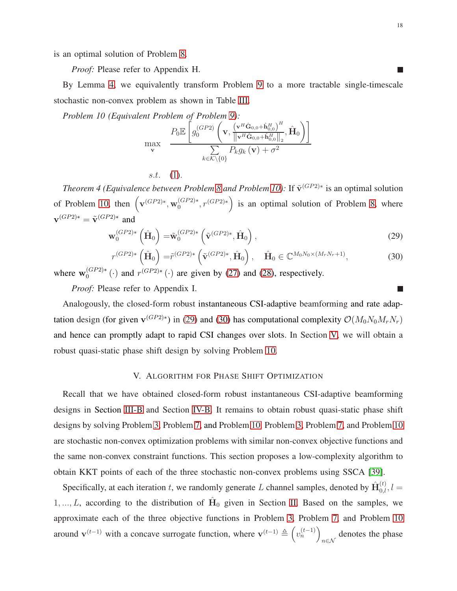is an optimal solution of Problem [8.](#page-15-0)

*Proof:* Please refer to Appendix H.

By Lemma [4,](#page-16-4) we equivalently transform Problem [9](#page-16-0) to a more tractable single-timescale stochastic non-convex problem as shown in Table [III.](#page-15-4)

*Problem 10 (Equivalent Problem of Problem [9\)](#page-16-0):*

<span id="page-17-1"></span>
$$
\max_{\mathbf{v}} \quad \frac{P_0 \mathbb{E}\left[g_0^{(GP2)}\left(\mathbf{v}, \frac{\left(\mathbf{v}^H \hat{\mathbf{G}}_{0,0} + \hat{\mathbf{h}}_{0,0}^H\right)^H}{\left\|\mathbf{v}^H \hat{\mathbf{G}}_{0,0} + \hat{\mathbf{h}}_{0,0}^H\right\|_2}, \hat{\mathbf{H}}_0\right)\right]}{\sum_{k \in \mathcal{K} \setminus \{0\}} P_k g_k\left(\mathbf{v}\right) + \sigma^2}
$$

 $s.t.$  [\(1\)](#page-7-0).

<span id="page-17-4"></span>*Theorem 4 (Equivalence between Problem [8](#page-15-0) and Problem [10\)](#page-17-1):* If  $\tilde{v}^{(GP2)*}$  is an optimal solution of Problem [10,](#page-17-1) then  $(\mathbf{v}^{(GP2)*}, \mathbf{w}_0^{(GP2)*}, r^{(GP2)*})$  is an optimal solution of Problem [8,](#page-15-0) where  $\mathbf{v}^{(GP2)*} = \tilde{\mathbf{v}}^{(GP2)*}$  and

$$
\mathbf{w}_0^{(GP2)*}\left(\hat{\mathbf{H}}_0\right) = \tilde{\mathbf{w}}_0^{(GP2)*}\left(\tilde{\mathbf{v}}^{(GP2)*}, \hat{\mathbf{H}}_0\right),\tag{29}
$$

$$
r^{(GP2)*}\left(\hat{\mathbf{H}}_0\right) = \tilde{r}^{(GP2)*}\left(\tilde{\mathbf{v}}^{(GP2)*}, \hat{\mathbf{H}}_0\right), \quad \hat{\mathbf{H}}_0 \in \mathbb{C}^{M_0N_0 \times (M_rN_r+1)},\tag{30}
$$

where  $\mathbf{w}_0^{(GP2)*}(\cdot)$  and  $r^{(GP2)*}(\cdot)$  are given by [\(27\)](#page-16-5) and [\(28\)](#page-16-6), respectively.

*Proof:* Please refer to Appendix I.

Analogously, the closed-form robust instantaneous CSI-adaptive beamforming and rate adaptation design (for given  $\mathbf{v}^{(GP2)*}$ ) in [\(29\)](#page-17-2) and [\(30\)](#page-17-3) has computational complexity  $\mathcal{O}(M_0N_0M_rN_r)$ and hence can promptly adapt to rapid CSI changes over slots. In Section [V,](#page-17-0) we will obtain a robust quasi-static phase shift design by solving Problem [10.](#page-17-1)

## V. ALGORITHM FOR PHASE SHIFT OPTIMIZATION

<span id="page-17-0"></span>Recall that we have obtained closed-form robust instantaneous CSI-adaptive beamforming designs in Section [III-B](#page-10-3) and Section [IV-B.](#page-13-4) It remains to obtain robust quasi-static phase shift designs by solving Problem [3,](#page-11-1) Problem [7,](#page-14-1) and Problem [10.](#page-17-1) Problem [3,](#page-11-1) Problem [7,](#page-14-1) and Problem [10](#page-17-1) are stochastic non-convex optimization problems with similar non-convex objective functions and the same non-convex constraint functions. This section proposes a low-complexity algorithm to obtain KKT points of each of the three stochastic non-convex problems using SSCA [\[39\]](#page-34-3).

Specifically, at each iteration t, we randomly generate L channel samples, denoted by  $\hat{H}_{0,l}^{(t)}$ ,  $l =$  $1, ..., L$ , according to the distribution of  $\hat{H}_0$  given in Section [II.](#page-4-0) Based on the samples, we approximate each of the three objective functions in Problem [3,](#page-11-1) Problem [7,](#page-14-1) and Problem [10](#page-17-1) around  $\mathbf{v}^{(t-1)}$  with a concave surrogate function, where  $\mathbf{v}^{(t-1)} \triangleq \left(v_n^{(t-1)}\right)$ n∈N denotes the phase

 $\mathcal{L}_{\mathcal{A}}$ 

<span id="page-17-3"></span><span id="page-17-2"></span>L.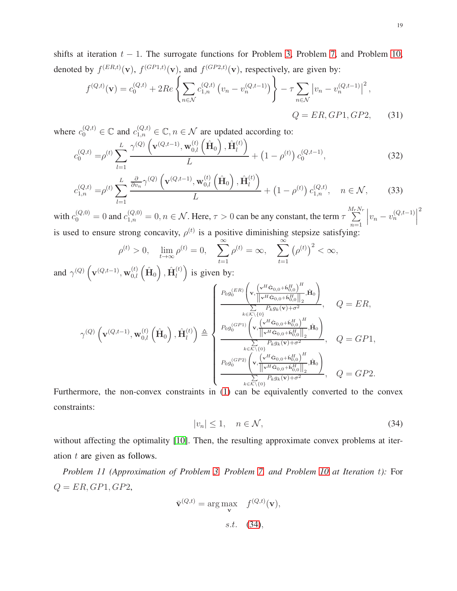shifts at iteration  $t - 1$ . The surrogate functions for Problem [3,](#page-11-1) Problem [7,](#page-14-1) and Problem [10,](#page-17-1) denoted by  $f^{(ER,t)}(\mathbf{v})$ ,  $f^{(GP1,t)}(\mathbf{v})$ , and  $f^{(GP2,t)}(\mathbf{v})$ , respectively, are given by:

<span id="page-18-1"></span>
$$
f^{(Q,t)}(\mathbf{v}) = c_0^{(Q,t)} + 2Re\left\{\sum_{n \in \mathcal{N}} c_{1,n}^{(Q,t)} \left(v_n - v_n^{(Q,t-1)}\right)\right\} - \tau \sum_{n \in \mathcal{N}} \left|v_n - v_n^{(Q,t-1)}\right|^2,
$$
\n
$$
Q = ER, GP1, GP2, \tag{31}
$$

where  $c_0^{(Q,t)} \in \mathbb{C}$  and  $c_{1,n}^{(Q,t)} \in \mathbb{C}$ ,  $n \in \mathcal{N}$  are updated according to:

$$
c_0^{(Q,t)} = \rho^{(t)} \sum_{l=1}^{L} \frac{\gamma^{(Q)}\left(\mathbf{v}^{(Q,t-1)}, \mathbf{w}_{0,l}^{(t)}\left(\hat{\mathbf{H}}_0\right), \hat{\mathbf{H}}_l^{(t)}\right)}{L} + \left(1 - \rho^{(t)}\right) c_0^{(Q,t-1)},\tag{32}
$$

$$
c_{1,n}^{(Q,t)} = \rho^{(t)} \sum_{l=1}^{L} \frac{\frac{\partial}{\partial v_n} \gamma^{(Q)} \left( \mathbf{v}^{(Q,t-1)}, \mathbf{w}_{0,l}^{(t)} \left( \hat{\mathbf{H}}_0 \right), \hat{\mathbf{H}}_l^{(t)} \right)}{L} + \left( 1 - \rho^{(t)} \right) c_{1,n}^{(Q,t)}, \quad n \in \mathcal{N}, \tag{33}
$$

with  $c_0^{(Q,0)} = 0$  and  $c_{1,n}^{(Q,0)} = 0, n \in \mathcal{N}$ . Here,  $\tau > 0$  can be any constant, the term  $\tau$  $\sum^{M_rN_r}$  $n=1$  $\left| v_n - v_n^{(Q,t-1)} \right|$ 2 is used to ensure strong concavity,  $\rho^{(t)}$  is a positive diminishing stepsize satisfying:

<span id="page-18-4"></span><span id="page-18-3"></span>
$$
\rho^{(t)} > 0, \quad \lim_{t \to \infty} \rho^{(t)} = 0, \quad \sum_{t=1}^{\infty} \rho^{(t)} = \infty, \quad \sum_{t=1}^{\infty} \left( \rho^{(t)} \right)^2 < \infty,
$$

and  $\gamma^{(Q)}\left(\mathbf{v}^{(Q,t-1)},\mathbf{w}^{(t)}_{0,l}\left(\hat{\mathbf{H}}_0\right), \hat{\mathbf{H}}^{(t)}_l\right)$  $\binom{t}{l}$  is given by:

$$
\gamma^{(Q)}\left(\mathbf{v}^{(Q,t-1)},\mathbf{w}_{0,l}^{(t)}\left(\hat{\mathbf{H}}_{0}\right),\hat{\mathbf{H}}_{l}^{(t)}\right) \triangleq \begin{cases} P_{0}g_{0}^{(ER)}\left(\mathbf{v},\frac{\left(\mathbf{v}^{H}\hat{\mathbf{G}}_{0,0}+\hat{\mathbf{h}}_{0,0}^{H}\right)^{H}}{\sum\limits_{k\in\mathcal{K}\backslash\{0\}}P_{k}g_{k}(\mathbf{v})+\sigma^{2}}, & Q=ER, \\ \frac{P_{0}g_{0}^{(GP1)}\left(\mathbf{v},\frac{\left(\mathbf{v}^{H}\hat{\mathbf{G}}_{0,0}+\hat{\mathbf{h}}_{0,0}^{H}\right)^{H}}{\left\|\mathbf{v}^{H}\hat{\mathbf{G}}_{0,0}+\hat{\mathbf{h}}_{0,0}^{H}\right\|_{2}},\hat{\mathbf{H}}_{0}\right)}{\sum\limits_{k\in\mathcal{K}\backslash\{0\}}P_{k}g_{k}(\mathbf{v})+\sigma^{2}}, & Q=GP1, \\ \frac{P_{0}g_{0}^{(GP2)}\left(\mathbf{v},\frac{\left(\mathbf{v}^{H}\hat{\mathbf{G}}_{0,0}+\hat{\mathbf{h}}_{0,0}^{H}\right)^{H}}{\left\|\mathbf{v}^{H}\hat{\mathbf{G}}_{0,0}+\hat{\mathbf{h}}_{0,0}^{H}\right\|_{2}},\hat{\mathbf{H}}_{0}\right)}{\sum\limits_{k\in\mathcal{K}\backslash\{0\}}P_{k}g_{k}(\mathbf{v})+\sigma^{2}}, & Q=GP2. \end{cases}
$$

Furthermore, the non-convex constraints in [\(1\)](#page-7-0) can be equivalently converted to the convex constraints:

<span id="page-18-2"></span><span id="page-18-0"></span>
$$
|v_n| \le 1, \quad n \in \mathcal{N},\tag{34}
$$

without affecting the optimality [\[10\]](#page-32-5). Then, the resulting approximate convex problems at iteration  $t$  are given as follows.

*Problem 11 (Approximation of Problem [3,](#page-11-1) Problem [7,](#page-14-1) and Problem [10](#page-17-1) at Iteration* t*):* For  $Q = ER, GP1, GP2,$ 

$$
\bar{\mathbf{v}}^{(Q,t)} = \arg\max_{\mathbf{v}} \quad f^{(Q,t)}(\mathbf{v}),
$$
  
s.t. (34),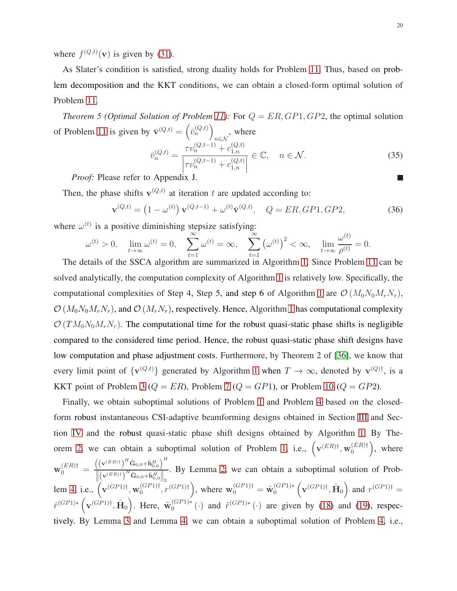where  $f^{(Q,t)}(\mathbf{v})$  is given by [\(31\)](#page-18-1).

As Slater's condition is satisfied, strong duality holds for Problem [11.](#page-18-2) Thus, based on problem decomposition and the KKT conditions, we can obtain a closed-form optimal solution of Problem [11.](#page-18-2)

<span id="page-19-0"></span>*Theorem 5 (Optimal Solution of Problem [11\)](#page-18-2):* For  $Q = ER, GP1, GP2$ , the optimal solution of Problem [11](#page-18-2) is given by  $\bar{\mathbf{v}}^{(Q,t)} = (\bar{v}_n^{(Q,t)})$ , where

<span id="page-19-2"></span><span id="page-19-1"></span>
$$
\bar{v}_n^{(Q,t)} = \frac{\tau v_n^{(Q,t-1)} + c_{1,n}^{(Q,t)}}{\left| \tau v_n^{(Q,t-1)} + c_{1,n}^{(Q,t)} \right|} \in \mathbb{C}, \quad n \in \mathcal{N}.
$$
\n(35)

 *Proof:* Please refer to Appendix J.

Then, the phase shifts  $\mathbf{v}^{(Q,t)}$  at iteration t are updated according to:

$$
\mathbf{v}^{(Q,t)} = (1 - \omega^{(t)}) \mathbf{v}^{(Q,t-1)} + \omega^{(t)} \bar{\mathbf{v}}^{(Q,t)}, \quad Q = ER, GP1, GP2,
$$
 (36)

where  $\omega^{(t)}$  is a positive diminishing stepsize satisfying:

$$
\omega^{(t)} > 0, \quad \lim_{t \to \infty} \omega^{(t)} = 0, \quad \sum_{t=1}^{\infty} \omega^{(t)} = \infty, \quad \sum_{t=1}^{\infty} \left( \omega^{(t)} \right)^2 < \infty, \quad \lim_{t \to \infty} \frac{\omega^{(t)}}{\rho^{(t)}} = 0.
$$

The details of the SSCA algorithm are summarized in Algorithm [1.](#page-20-1) Since Problem [11](#page-18-2) can be solved analytically, the computation complexity of Algorithm [1](#page-20-1) is relatively low. Specifically, the computational complexities of Step 4, Step 5, and step 6 of Algorithm [1](#page-20-1) are  $\mathcal{O}(M_0N_0M_rN_r)$ ,  $\mathcal{O}(M_0N_0M_rN_r)$ , and  $\mathcal{O}(M_rN_r)$ , respectively. Hence, Algorithm [1](#page-20-1) has computational complexity  $\mathcal{O}(TM_0N_0M_rN_r)$ . The computational time for the robust quasi-static phase shifts is negligible compared to the considered time period. Hence, the robust quasi-static phase shift designs have low computation and phase adjustment costs. Furthermore, by Theorem 2 of [\[36\]](#page-34-4), we know that every limit point of  $\{v^{(Q,t)}\}$  generated by Algorithm [1](#page-20-1) when  $T \to \infty$ , denoted by  $v^{(Q)\dagger}$ , is a KKT point of Problem [3](#page-11-1) ( $Q = ER$ ), Problem [7](#page-14-1) ( $Q = GP1$ ), or Problem [10](#page-17-1) ( $Q = GP2$ ).

Finally, we obtain suboptimal solutions of Problem [1](#page-9-3) and Problem [4](#page-12-1) based on the closedform robust instantaneous CSI-adaptive beamforming designs obtained in Section [III](#page-9-0) and Section [IV](#page-11-0) and the robust quasi-static phase shift designs obtained by Algorithm [1.](#page-20-1) By The-orem [2,](#page-11-3) we can obtain a suboptimal solution of Problem [1,](#page-9-3) i.e.,  $(\mathbf{v}^{(ER)\dagger}, \mathbf{w}_0^{(ER)\dagger})$ , where  $\mathrm{w}^{(ER)\dagger}_{0}$   $=$  $\left(\left(\mathbf{v}^{(ER)\dagger}\right)^H \hat{\mathbf{G}}_{0,0} + \hat{\mathbf{h}}^H_{0,0}\right)^H$  $\left\|\left(\mathbf{v}^{(ER)\dagger}\right)^H\hat{\mathbf{G}}_{0,0}+\hat{\mathbf{h}}_{0,0}^H\right\|_2$ . By Lemma [2,](#page-14-5) we can obtain a suboptimal solution of Prob-lem [4,](#page-12-1) i.e.,  $(\mathbf{v}^{(GP1)\dagger}, \mathbf{w}_0^{(GP1)\dagger}, r^{(GP1)\dagger})$ , where  $\mathbf{w}_0^{(GP1)\dagger} = \tilde{\mathbf{w}}_0^{(GP1)*} (\mathbf{v}^{(GP1)\dagger}, \hat{\mathbf{H}}_0)$  and  $r^{(GP1)\dagger} =$  $\tilde{r}^{(GP1)*}$   $(\mathbf{v}^{(GP1)\dagger}, \hat{\mathbf{H}}_0)$ . Here,  $\tilde{\mathbf{w}}_0^{(GP1)*}$  (·) and  $\tilde{r}^{(GP1)*}$  (·) are given by [\(18\)](#page-14-6) and [\(19\)](#page-14-7), respectively. By Lemma [3](#page-16-7) and Lemma [4,](#page-16-4) we can obtain a suboptimal solution of Problem [4,](#page-12-1) i.e.,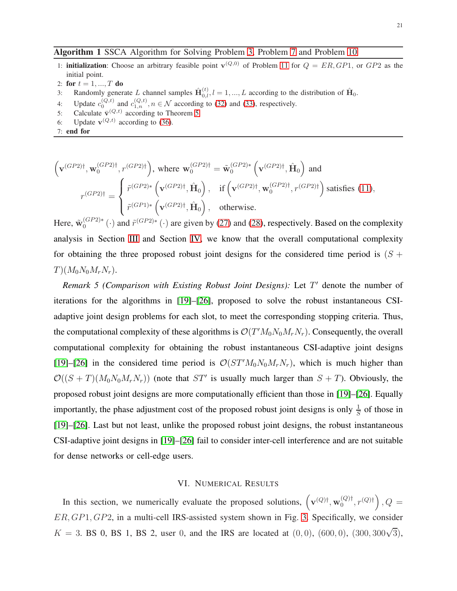### Algorithm 1 SSCA Algorithm for Solving Problem [3,](#page-11-1) Problem [7](#page-14-1) and Problem [10](#page-17-1)

- 1: **initialization**: Choose an arbitrary feasible point  $\mathbf{v}^{(Q,0)}$  of Problem [11](#page-18-2) for  $Q = ER, GP1$ , or  $GP2$  as the initial point.
- 2: for  $t = 1, ..., T$  do
- 3: Randomly generate L channel samples  $\hat{\mathbf{H}}_{0,l}^{(t)}$ ,  $l = 1, ..., L$  according to the distribution of  $\hat{\mathbf{H}}_0$ .
- 4: Update  $c_0^{(Q,t)}$  and  $c_{1,n}^{(Q,t)}$ ,  $n \in \mathcal{N}$  according to [\(32\)](#page-18-3) and [\(33\)](#page-18-4), respectively.
- 5: Calculate  $\bar{\mathbf{v}}^{(Q,t)}$  according to Theorem [5.](#page-19-0)
- <span id="page-20-1"></span>6: Update  $\mathbf{v}^{(Q,t)}$  according to [\(36\)](#page-19-1).
- 7: end for

$$
\left(\mathbf{v}^{(GP2)\dagger}, \mathbf{w}_0^{(GP2)\dagger}, r^{(GP2)\dagger}\right), \text{ where } \mathbf{w}_0^{(GP2)\dagger} = \tilde{\mathbf{w}}_0^{(GP2)*} \left(\mathbf{v}^{(GP2)\dagger}, \hat{\mathbf{H}}_0\right) \text{ and}
$$
\n
$$
r^{(GP2)\dagger} = \begin{cases} \tilde{r}^{(GP2)*} \left(\mathbf{v}^{(GP2)\dagger}, \hat{\mathbf{H}}_0\right), & \text{if } \left(\mathbf{v}^{(GP2)\dagger}, \mathbf{w}_0^{(GP2)\dagger}, r^{(GP2)\dagger}\right) \text{ satisfies (11)},\\ \tilde{r}^{(GP1)*} \left(\mathbf{v}^{(GP2)\dagger}, \hat{\mathbf{H}}_0\right), & \text{otherwise.} \end{cases}
$$

Here,  $\tilde{w}_0^{(GP2)*}(\cdot)$  and  $\tilde{r}^{(GP2)*}(\cdot)$  are given by [\(27\)](#page-16-5) and [\(28\)](#page-16-6), respectively. Based on the complexity analysis in Section [III](#page-9-0) and Section [IV,](#page-11-0) we know that the overall computational complexity for obtaining the three proposed robust joint designs for the considered time period is  $(S +$  $T)(M_0N_0M_rN_r).$ 

*Remark 5 (Comparison with Existing Robust Joint Designs):* Let T ′ denote the number of iterations for the algorithms in [\[19\]](#page-33-3)–[\[26\]](#page-33-4), proposed to solve the robust instantaneous CSIadaptive joint design problems for each slot, to meet the corresponding stopping criteria. Thus, the computational complexity of these algorithms is  $\mathcal{O}(T'M_0N_0M_rN_r)$ . Consequently, the overall computational complexity for obtaining the robust instantaneous CSI-adaptive joint designs [\[19\]](#page-33-3)–[\[26\]](#page-33-4) in the considered time period is  $\mathcal{O}(ST'M_0N_0M_rN_r)$ , which is much higher than  $\mathcal{O}((S+T)(M_0N_0M_rN_r))$  (note that  $ST'$  is usually much larger than  $S+T$ ). Obviously, the proposed robust joint designs are more computationally efficient than those in [\[19\]](#page-33-3)–[\[26\]](#page-33-4). Equally importantly, the phase adjustment cost of the proposed robust joint designs is only  $\frac{1}{S}$  of those in [\[19\]](#page-33-3)–[\[26\]](#page-33-4). Last but not least, unlike the proposed robust joint designs, the robust instantaneous CSI-adaptive joint designs in [\[19\]](#page-33-3)–[\[26\]](#page-33-4) fail to consider inter-cell interference and are not suitable for dense networks or cell-edge users.

#### VI. NUMERICAL RESULTS

<span id="page-20-0"></span>In this section, we numerically evaluate the proposed solutions,  $(v^{(Q)\dagger}, w_0^{(Q)\dagger}, r^{(Q)\dagger})$ ,  $Q =$ ER, GP1, GP2, in a multi-cell IRS-assisted system shown in Fig. [3.](#page-21-0) Specifically, we consider  $K = 3$ . BS 0, BS 1, BS 2, user 0, and the IRS are located at  $(0,0)$ ,  $(600,0)$ ,  $(300,300\sqrt{3})$ ,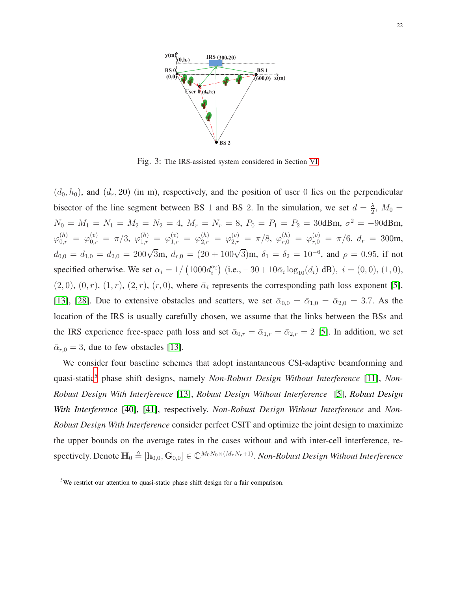<span id="page-21-0"></span>

Fig. 3: The IRS-assisted system considered in Section [VI.](#page-20-0)

 $(d_0, h_0)$ , and  $(d_r, 20)$  (in m), respectively, and the position of user 0 lies on the perpendicular bisector of the line segment between BS 1 and BS 2. In the simulation, we set  $d = \frac{\lambda}{2}$  $\frac{\lambda}{2}$ ,  $M_0 =$  $N_0 = M_1 = N_1 = M_2 = N_2 = 4$ ,  $M_r = N_r = 8$ ,  $P_0 = P_1 = P_2 = 30$ dBm,  $\sigma^2 = -90$ dBm,  $\varphi _{0,r}^{\left( h\right) }=\,\varphi _{0,r}^{\left( v\right) }=\,\pi /3,\,\,\varphi _{1,r}^{\left( h\right) }=\,\varphi _{1,r}^{\left( v\right) }=\,\varphi _{2,r}^{\left( h\right) }=\,\varphi _{2,r}^{\left( v\right) }=\,\pi /8,\,\,\varphi _{r,0}^{\left( h\right) }=\,\varphi _{r,0}^{\left( v\right) }=\,\pi /6,\,\,d_{r}\,=\,300\text{m},$  $d_{0,0} = d_{1,0} = d_{2,0} = 200\sqrt{3}$ m,  $d_{r,0} = (20 + 100\sqrt{3})$ m,  $\delta_1 = \delta_2 = 10^{-6}$ , and  $\rho = 0.95$ , if not specified otherwise. We set  $\alpha_i = 1/\left(1000d_i^{\bar{\alpha}_i}\right)$  (i.e.,  $-30 + 10\bar{\alpha}_i \log_{10}(d_i)$  dB),  $i = (0, 0)$ ,  $(1, 0)$ ,  $(2, 0), (0, r), (1, r), (2, r), (r, 0)$ , where  $\bar{\alpha}_i$  represents the corresponding path loss exponent [\[5\]](#page-32-4), [\[13\]](#page-32-11), [\[28\]](#page-33-13). Due to extensive obstacles and scatters, we set  $\bar{\alpha}_{0,0} = \bar{\alpha}_{1,0} = \bar{\alpha}_{2,0} = 3.7$ . As the location of the IRS is usually carefully chosen, we assume that the links between the BSs and the IRS experience free-space path loss and set  $\bar{\alpha}_{0,r} = \bar{\alpha}_{1,r} = \bar{\alpha}_{2,r} = 2$  [\[5\]](#page-32-4). In addition, we set  $\bar{\alpha}_{r,0} = 3$ , due to few obstacles [\[13\]](#page-32-11).

We consider four baseline schemes that adopt instantaneous CSI-adaptive beamforming and quasi-static<sup>5</sup> phase shift designs, namely *Non-Robust Design Without Interference* [\[11\]](#page-32-10), *Non-Robust Design With Interference* [\[13\]](#page-32-11), *Robust Design Without Interference* [\[5\]](#page-32-4), *Robust Design With Interference* [\[40\]](#page-34-5), [\[41\]](#page-34-6), respectively. *Non-Robust Design Without Interference* and *Non-Robust Design With Interference* consider perfect CSIT and optimize the joint design to maximize the upper bounds on the average rates in the cases without and with inter-cell interference, re- ${\rm spectively.}$  Denote  ${\bf H}_0\triangleq [{\bf h}_{0,0},{\bf G}_{0,0}]\in \mathbb{C}^{M_0N_0\times (M_rN_r+1)}.$  *Non-Robust Design Without Interference* 

<sup>&</sup>lt;sup>5</sup>We restrict our attention to quasi-static phase shift design for a fair comparison.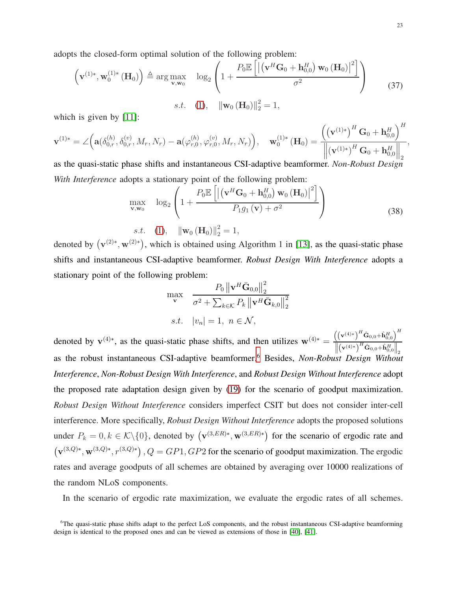adopts the closed-form optimal solution of the following problem:

$$
\left(\mathbf{v}^{(1)*}, \mathbf{w}_0^{(1)*}(\mathbf{H}_0)\right) \triangleq \arg \max_{\mathbf{v}, \mathbf{w}_0} \quad \log_2 \left(1 + \frac{P_0 \mathbb{E}\left[\left\|\left(\mathbf{v}^H \mathbf{G}_0 + \mathbf{h}_{0,0}^H\right) \mathbf{w}_0 \left(\mathbf{H}_0\right)\right\|^2\right]}{\sigma^2}\right)
$$
\n
$$
s.t. \quad (1), \quad \|\mathbf{w}_0 \left(\mathbf{H}_0\right)\|_2^2 = 1,
$$
\n(37)

which is given by [\[11\]](#page-32-10):

$$
\mathbf{v}^{(1)*} = \angle \Big( \mathbf{a}(\delta_{0,r}^{(h)}, \delta_{0,r}^{(v)}, M_r, N_r) - \mathbf{a}(\varphi_{r,0}^{(h)}, \varphi_{r,0}^{(v)}, M_r, N_r) \Big), \quad \mathbf{w}_0^{(1)*} (\mathbf{H}_0) = \frac{\Big( (\mathbf{v}^{(1)*})^H \mathbf{G}_0 + \mathbf{h}_{0,0}^H \Big)^H}{\Big\| (\mathbf{v}^{(1)*})^H \mathbf{G}_0 + \mathbf{h}_{0,0}^H \Big\|_2},
$$
as the quasi-static phase shifts and instantaneous CSI-adaptive beamformer. *Non-Robust Design*

*With Interference* adopts a stationary point of the following problem:

$$
\max_{\mathbf{v}, \mathbf{w}_0} \quad \log_2 \left( 1 + \frac{P_0 \mathbb{E} \left[ \left| \left( \mathbf{v}^H \mathbf{G}_0 + \mathbf{h}_{0,0}^H \right) \mathbf{w}_0 \left( \mathbf{H}_0 \right) \right|^2 \right]}{P_1 g_1 \left( \mathbf{v} \right) + \sigma^2} \right)
$$
\n
$$
s.t. \quad (1), \quad \|\mathbf{w}_0 \left( \mathbf{H}_0 \right) \|_2^2 = 1,
$$
\n
$$
(38)
$$

denoted by  $(\mathbf{v}^{(2)*}, \mathbf{w}^{(2)*})$ , which is obtained using Algorithm 1 in [\[13\]](#page-32-11), as the quasi-static phase shifts and instantaneous CSI-adaptive beamformer. *Robust Design With Interference* adopts a stationary point of the following problem:  $\alpha$ 

$$
\max_{\mathbf{v}} \quad \frac{P_0 \left\| \mathbf{v}^H \bar{\mathbf{G}}_{0,0} \right\|_2^2}{\sigma^2 + \sum_{k \in \mathcal{K}} P_k \left\| \mathbf{v}^H \bar{\mathbf{G}}_{k,0} \right\|_2^2}
$$
  
s.t.  $|v_n| = 1, \ n \in \mathcal{N},$ 

denoted by  $\mathbf{v}^{(4)*}$ , as the quasi-static phase shifts, and then utilizes  $\mathbf{w}^{(4)*} = \frac{\left((\mathbf{v}^{(4)*}\right)^H \hat{\mathbf{G}}_{0,0} + \hat{\mathbf{h}}_{0,0}^H)^H}{\|\mathbf{G}_{0,0} + \hat{\mathbf{h}}_{0,0}^H\|}$  $\left\|\left(\mathbf{v}^{(4)*}\right)^H\hat{\mathbf{G}}_{0,0}+\hat{\mathbf{h}}_{0,0}^H\right\|$  2 as the robust instantaneous CSI-adaptive beamformer.<sup>6</sup> Besides, *Non-Robust Design Without Interference*, *Non-Robust Design With Interference*, and *Robust Design Without Interference* adopt the proposed rate adaptation design given by [\(19\)](#page-14-7) for the scenario of goodput maximization. *Robust Design Without Interference* considers imperfect CSIT but does not consider inter-cell interference. More specifically, *Robust Design Without Interference* adopts the proposed solutions under  $P_k = 0, k \in \mathcal{K} \setminus \{0\}$ , denoted by  $(\mathbf{v}^{(3,ER)*}, \mathbf{w}^{(3,ER)*})$  for the scenario of ergodic rate and  $(v^{(3,Q)*}, w^{(3,Q)*}, r^{(3,Q)*})$ ,  $Q = GP1$ ,  $GP2$  for the scenario of goodput maximization. The ergodic rates and average goodputs of all schemes are obtained by averaging over 10000 realizations of the random NLoS components.

In the scenario of ergodic rate maximization, we evaluate the ergodic rates of all schemes.

 ${}^{6}$ The quasi-static phase shifts adapt to the perfect LoS components, and the robust instantaneous CSI-adaptive beamforming design is identical to the proposed ones and can be viewed as extensions of those in [\[40\]](#page-34-5), [\[41\]](#page-34-6).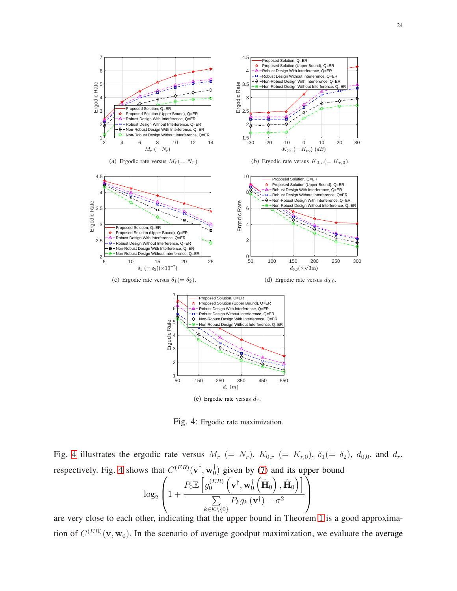<span id="page-23-2"></span><span id="page-23-1"></span><span id="page-23-0"></span>

<span id="page-23-5"></span><span id="page-23-4"></span><span id="page-23-3"></span>Fig. 4: Ergodic rate maximization.

Fig. [4](#page-23-0) illustrates the ergodic rate versus  $M_r$  (=  $N_r$ ),  $K_{0,r}$  (=  $K_{r,0}$ ),  $\delta_1$ (=  $\delta_2$ ),  $d_{0,0}$ , and  $d_r$ , respectively. Fig. [4](#page-23-0) shows that  $C^{(ER)}(\mathbf{v}^{\dagger}, \mathbf{w}_0^{\dagger})$  given by [\(7\)](#page-9-2) and its upper bound

$$
\log_2\left(1+\frac{P_0\mathbb{E}\left[g_0^{(ER)}\left(\mathbf{v}^\dagger,\mathbf{w}_0^\dagger\left(\hat{\mathbf{H}}_0\right),\hat{\mathbf{H}}_0\right)\right]}{\sum\limits_{k\in\mathcal{K}\backslash\{0\}}P_kg_k\left(\mathbf{v}^\dagger\right)+\sigma^2}\right)
$$

are very close to each other, indicating that the upper bound in Theorem [1](#page-10-1) is a good approximation of  $C^{(ER)}(\mathbf{v}, \mathbf{w}_0)$ . In the scenario of average goodput maximization, we evaluate the average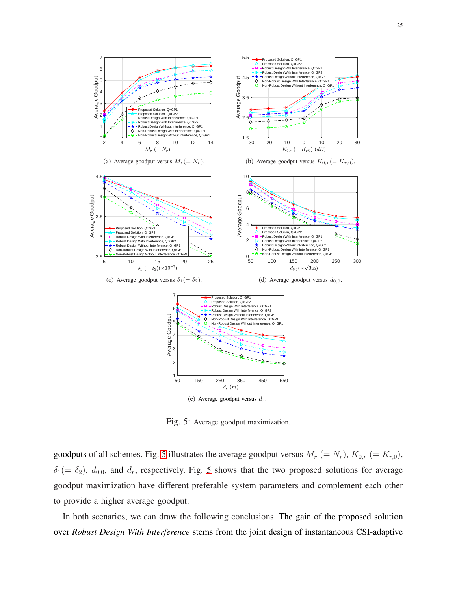<span id="page-24-2"></span><span id="page-24-1"></span><span id="page-24-0"></span>

<span id="page-24-5"></span><span id="page-24-4"></span><span id="page-24-3"></span>(e) Average goodput versus  $d_r$ .

Fig. 5: Average goodput maximization.

goodputs of all schemes. Fig. [5](#page-24-0) illustrates the average goodput versus  $M_r$  (=  $N_r$ ),  $K_{0,r}$  (=  $K_{r,0}$ ),  $\delta_1(=\delta_2)$ ,  $d_{0,0}$ , and  $d_r$ , respectively. Fig. [5](#page-24-0) shows that the two proposed solutions for average goodput maximization have different preferable system parameters and complement each other to provide a higher average goodput.

In both scenarios, we can draw the following conclusions. The gain of the proposed solution over *Robust Design With Interference* stems from the joint design of instantaneous CSI-adaptive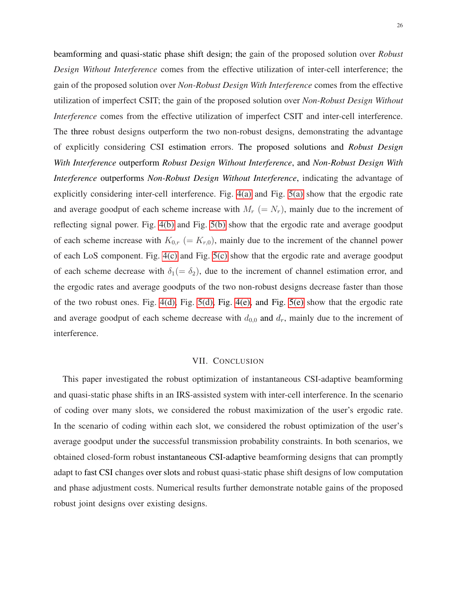beamforming and quasi-static phase shift design; the gain of the proposed solution over *Robust Design Without Interference* comes from the effective utilization of inter-cell interference; the gain of the proposed solution over *Non-Robust Design With Interference* comes from the effective utilization of imperfect CSIT; the gain of the proposed solution over *Non-Robust Design Without Interference* comes from the effective utilization of imperfect CSIT and inter-cell interference. The three robust designs outperform the two non-robust designs, demonstrating the advantage of explicitly considering CSI estimation errors. The proposed solutions and *Robust Design With Interference* outperform *Robust Design Without Interference*, and *Non-Robust Design With Interference* outperforms *Non-Robust Design Without Interference*, indicating the advantage of explicitly considering inter-cell interference. Fig. [4\(a\)](#page-23-1) and Fig. [5\(a\)](#page-24-1) show that the ergodic rate and average goodput of each scheme increase with  $M_r$  (=  $N_r$ ), mainly due to the increment of reflecting signal power. Fig. [4\(b\)](#page-23-2) and Fig. [5\(b\)](#page-24-2) show that the ergodic rate and average goodput of each scheme increase with  $K_{0,r}$  (=  $K_{r,0}$ ), mainly due to the increment of the channel power of each LoS component. Fig. [4\(c\)](#page-23-3) and Fig. [5\(c\)](#page-24-3) show that the ergodic rate and average goodput of each scheme decrease with  $\delta_1(=\delta_2)$ , due to the increment of channel estimation error, and the ergodic rates and average goodputs of the two non-robust designs decrease faster than those of the two robust ones. Fig. [4\(d\),](#page-23-4) Fig. [5\(d\),](#page-24-4) Fig. [4\(e\),](#page-23-5) and Fig. [5\(e\)](#page-24-5) show that the ergodic rate and average goodput of each scheme decrease with  $d_{0,0}$  and  $d_r$ , mainly due to the increment of interference.

## VII. CONCLUSION

This paper investigated the robust optimization of instantaneous CSI-adaptive beamforming and quasi-static phase shifts in an IRS-assisted system with inter-cell interference. In the scenario of coding over many slots, we considered the robust maximization of the user's ergodic rate. In the scenario of coding within each slot, we considered the robust optimization of the user's average goodput under the successful transmission probability constraints. In both scenarios, we obtained closed-form robust instantaneous CSI-adaptive beamforming designs that can promptly adapt to fast CSI changes over slots and robust quasi-static phase shift designs of low computation and phase adjustment costs. Numerical results further demonstrate notable gains of the proposed robust joint designs over existing designs.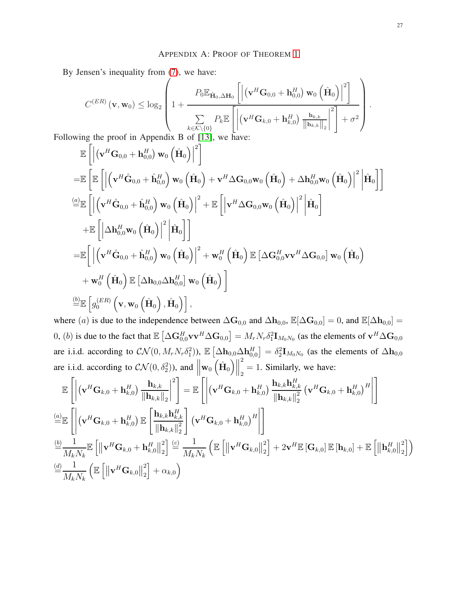By Jensen's inequality from [\(7\)](#page-9-2), we have:

$$
C^{(ER)}(\mathbf{v}, \mathbf{w}_0) \leq \log_2 \left(1 + \frac{P_0 \mathbb{E}_{\hat{\mathbf{H}}_0, \Delta \mathbf{H}_0} \left[ \left| (\mathbf{v}^H \mathbf{G}_{0,0} + \mathbf{h}_{0,0}^H) \mathbf{w}_0 \left( \hat{\mathbf{H}}_0 \right) \right|^2 \right]}{\sum_{k \in \mathcal{K} \setminus \{0\}} P_k \mathbb{E} \left[ \left| (\mathbf{v}^H \mathbf{G}_{k,0} + \mathbf{h}_{k,0}^H) \frac{\mathbf{h}_{k,k}}{\|\mathbf{h}_{k,k}\|_2}\right|^2 \right] + \sigma^2} \right).
$$
  
ng the proof in Appendix B of [13], we have:

Following the proof in Appendix B of [\[13\]](#page-32-11), we have:

$$
\mathbb{E}\left[\left|\left(\mathbf{v}^H\mathbf{G}_{0,0} + \mathbf{h}_{0,0}^H\right)\mathbf{w}_0\left(\hat{\mathbf{H}}_0\right)\right|^2\right] \n= \mathbb{E}\left[\mathbb{E}\left[\left|\left(\mathbf{v}^H\hat{\mathbf{G}}_{0,0} + \hat{\mathbf{h}}_{0,0}^H\right)\mathbf{w}_0\left(\hat{\mathbf{H}}_0\right) + \mathbf{v}^H\Delta\mathbf{G}_{0,0}\mathbf{w}_0\left(\hat{\mathbf{H}}_0\right) + \Delta\mathbf{h}_{0,0}^H\mathbf{w}_0\left(\hat{\mathbf{H}}_0\right)\right|^2\right|\hat{\mathbf{H}}_0\right]\right] \n= \mathbb{E}\left[\left|\left(\mathbf{v}^H\hat{\mathbf{G}}_{0,0} + \hat{\mathbf{h}}_{0,0}^H\right)\mathbf{w}_0\left(\hat{\mathbf{H}}_0\right)\right|^2 + \mathbb{E}\left[\left|\mathbf{v}^H\Delta\mathbf{G}_{0,0}\mathbf{w}_0\left(\hat{\mathbf{H}}_0\right)\right|^2\right|\hat{\mathbf{H}}_0\right] \n+ \mathbb{E}\left[\left|\Delta\mathbf{h}_{0,0}^H\mathbf{w}_0\left(\hat{\mathbf{H}}_0\right)\right|^2\right|\hat{\mathbf{H}}_0\right]\right] \n= \mathbb{E}\left[\left|\left(\mathbf{v}^H\hat{\mathbf{G}}_{0,0} + \hat{\mathbf{h}}_{0,0}^H\right)\mathbf{w}_0\left(\hat{\mathbf{H}}_0\right)\right|^2 + \mathbf{w}_0^H\left(\hat{\mathbf{H}}_0\right)\mathbb{E}\left[\Delta\mathbf{G}_{0,0}^H\mathbf{v}\mathbf{v}^H\Delta\mathbf{G}_{0,0}\right]\mathbf{w}_0\left(\hat{\mathbf{H}}_0\right) \right. \n+ \mathbf{w}_0^H\left(\hat{\mathbf{H}}_0\right)\mathbb{E}\left[\Delta\mathbf{h}_{0,0}\Delta\mathbf{h}_{0,0}^H\right]\mathbf{w}_0\left(\hat{\mathbf{H}}_0\right)\right] \n= \mathbb{E}\left[g_0^{(ER)}\left(\mathbf
$$

where (a) is due to the independence between  $\Delta\mathbf{G}_{0,0}$  and  $\Delta\mathbf{h}_{0,0}$ ,  $\mathbb{E}[\Delta\mathbf{G}_{0,0}] = 0$ , and  $\mathbb{E}[\Delta\mathbf{h}_{0,0}] =$ 0, (*b*) is due to the fact that  $\mathbb{E}\left[\Delta \mathbf{G}_{0,0}^H \mathbf{v} \mathbf{v}^H \Delta \mathbf{G}_{0,0}\right] = M_r N_r \delta_1^2 \mathbf{I}_{M_0 N_0}$  (as the elements of  $\mathbf{v}^H \Delta \mathbf{G}_{0,0}$ are i.i.d. according to  $CN(0, M_rN_r\delta_1^2)$ ),  $\mathbb{E}\left[\Delta \mathbf{h}_{0,0}\Delta \mathbf{h}_{0,0}^H\right] = \delta_2^2 \mathbf{I}_{M_0N_0}$  (as the elements of  $\Delta \mathbf{h}_{0,0}$ are i.i.d. according to  $CN(0, \delta_2^2)$ ), and  $\parallel$  $\mathbf{w}_0\left(\hat{\mathbf{H}}_0\right)\!\!\!\parallel\!\!\!\parallel$ 2  $_2 = 1$ . Similarly, we have:

$$
\mathbb{E}\left[\left|\left(\mathbf{v}^{H}\mathbf{G}_{k,0}+\mathbf{h}_{k,0}^{H}\right)\frac{\mathbf{h}_{k,k}}{\|\mathbf{h}_{k,k}\|_{2}}\right|^{2}\right] = \mathbb{E}\left[\left|\left(\mathbf{v}^{H}\mathbf{G}_{k,0}+\mathbf{h}_{k,0}^{H}\right)\frac{\mathbf{h}_{k,k}\mathbf{h}_{k,k}^{H}}{\|\mathbf{h}_{k,k}\|_{2}}\left(\mathbf{v}^{H}\mathbf{G}_{k,0}+\mathbf{h}_{k,0}^{H}\right)^{H}\right|\right]
$$
\n
$$
\stackrel{(a)}{=} \mathbb{E}\left[\left|\left(\mathbf{v}^{H}\mathbf{G}_{k,0}+\mathbf{h}_{k,0}^{H}\right)\mathbb{E}\left[\frac{\mathbf{h}_{k,k}\mathbf{h}_{k,k}^{H}}{\|\mathbf{h}_{k,k}\|_{2}^{2}}\right]\left(\mathbf{v}^{H}\mathbf{G}_{k,0}+\mathbf{h}_{k,0}^{H}\right)^{H}\right|\right]
$$
\n
$$
\stackrel{(b)}{=} \frac{1}{M_{k}N_{k}}\mathbb{E}\left[\left\|\mathbf{v}^{H}\mathbf{G}_{k,0}+\mathbf{h}_{k,0}^{H}\right\|_{2}^{2}\right] \stackrel{(c)}{=} \frac{1}{M_{k}N_{k}}\left(\mathbb{E}\left[\left\|\mathbf{v}^{H}\mathbf{G}_{k,0}\right\|_{2}^{2}\right]+2\mathbf{v}^{H}\mathbb{E}\left[\mathbf{G}_{k,0}\right]\mathbb{E}\left[\mathbf{h}_{k,0}\right]+\mathbb{E}\left[\left\|\mathbf{h}_{k,0}^{H}\right\|_{2}^{2}\right]\right)
$$
\n
$$
\stackrel{(d)}{=} \frac{1}{M_{k}N_{k}}\left(\mathbb{E}\left[\left\|\mathbf{v}^{H}\mathbf{G}_{k,0}\right\|_{2}^{2}\right]+\alpha_{k,0}\right)
$$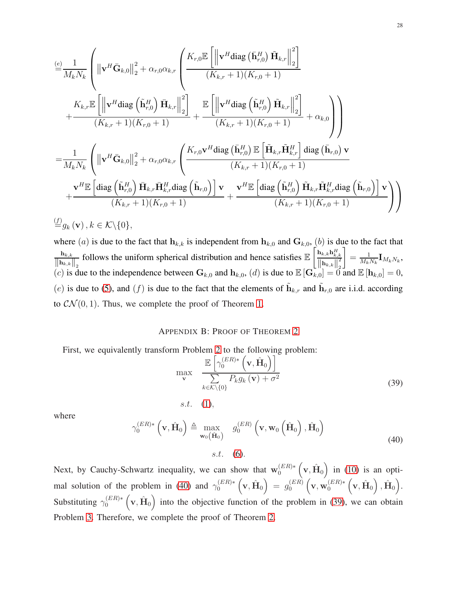$$
\begin{split}\n&\stackrel{(e)}{=} \frac{1}{M_k N_k} \left( \left\| \mathbf{v}^H \bar{\mathbf{G}}_{k,0} \right\|_2^2 + \alpha_{r,0} \alpha_{k,r} \left( \frac{K_{r,0} \mathbb{E} \left[ \left\| \mathbf{v}^H \text{diag} \left( \bar{\mathbf{h}}_{r,0}^H \right) \tilde{\mathbf{H}}_{k,r} \right\|_2^2 \right]}{(K_{k,r} + 1)(K_{r,0} + 1)} \right. \\
&\quad \left. + \frac{K_{k,r} \mathbb{E} \left[ \left\| \mathbf{v}^H \text{diag} \left( \tilde{\mathbf{h}}_{r,0}^H \right) \bar{\mathbf{H}}_{k,r} \right\|_2^2 \right]}{(K_{k,r} + 1)(K_{r,0} + 1)} + \frac{\mathbb{E} \left[ \left\| \mathbf{v}^H \text{diag} \left( \tilde{\mathbf{h}}_{r,0}^H \right) \tilde{\mathbf{H}}_{k,r} \right\|_2^2 \right]}{(K_{k,r} + 1)(K_{r,0} + 1)} + \alpha_{k,0} \right)}{(\mathbf{K}_{k,r} + 1)(K_{r,0} + 1)} \\
&= \frac{1}{M_k N_k} \left( \left\| \mathbf{v}^H \bar{\mathbf{G}}_{k,0} \right\|_2^2 + \alpha_{r,0} \alpha_{k,r} \left( \frac{K_{r,0} \mathbf{v}^H \text{diag} \left( \bar{\mathbf{h}}_{r,0}^H \right) \mathbb{E} \left[ \tilde{\mathbf{H}}_{k,r} \tilde{\mathbf{H}}_{k,r}^H \right] \text{diag} \left( \bar{\mathbf{h}}_{r,0} \right) \mathbf{v}}{(K_{k,r} + 1)(K_{r,0} + 1)} + \frac{\mathbf{v}^H \mathbb{E} \left[ \text{diag} \left( \tilde{\mathbf{h}}_{r,0}^H \right) \tilde{\mathbf{H}}_{k,r} \tilde{\mathbf{H}}_{k,r}^H \text{diag} \left( \tilde{\mathbf{h}}_{r,0} \right) \right] \mathbf{v}}{(K_{k,r} + 1)(K_{r,0} + 1)} + \frac{\mathbf{v}^H \math
$$

where (a) is due to the fact that  $h_{k,k}$  is independent from  $h_{k,0}$  and  $G_{k,0}$ , (b) is due to the fact that  $\mathbf{h}_{k,k}$  $\left\Vert \mathbf{h}_{k,k}\right\Vert _{2}$ follows the uniform spherical distribution and hence satisfies  $\mathbb{E}\left[\frac{\mathbf{h}_{k,k}\mathbf{h}_{k,k}^H}{\mathbf{h}_{k,k}^H}\right]$  $\left\Vert \mathbf{h}_{k,k}\right\Vert _{2}^{2}$ (c) is due to the independence between  $\mathbf{G}_{k,0}$  and  $\mathbf{h}_{k,0}$ , (d) is due to  $\mathbb{E}[\mathbf{G}_{k,0}^{[1] \to k,k}] = 0$  and  $\mathbb{E}[\mathbf{h}_{k,0}] = 0$ , 1  $=\frac{1}{M}$  $\frac{1}{M_k N_k}$ **I** $M_k N_k$ , (e) is due to [\(5\)](#page-8-1), and (f) is due to the fact that the elements of  $\tilde{\mathbf{h}}_{k,r}$  and  $\tilde{\mathbf{h}}_{r,0}$  are i.i.d. according to  $\mathcal{CN}(0, 1)$ . Thus, we complete the proof of Theorem [1.](#page-10-1)

#### APPENDIX B: PROOF OF THEOREM [2](#page-11-3)

<span id="page-27-1"></span>First, we equivalently transform Problem [2](#page-10-0) to the following problem:

s.t. [\(1\)](#page-7-0),

$$
\max_{\mathbf{v}} \quad \frac{\mathbb{E}\left[\gamma_0^{(ER)*}\left(\mathbf{v}, \hat{\mathbf{H}}_0\right)\right]}{\sum\limits_{k \in \mathcal{K} \setminus \{0\}} P_k g_k\left(\mathbf{v}\right) + \sigma^2} \tag{39}
$$

<span id="page-27-0"></span>where

$$
\gamma_0^{(ER)*}\left(\mathbf{v}, \hat{\mathbf{H}}_0\right) \triangleq \max_{\mathbf{w}_0(\hat{\mathbf{H}}_0)} g_0^{(ER)}\left(\mathbf{v}, \mathbf{w}_0\left(\hat{\mathbf{H}}_0\right), \hat{\mathbf{H}}_0\right)
$$
\n
$$
s.t. \quad (6).
$$
\n(40)

Next, by Cauchy-Schwartz inequality, we can show that  $\mathbf{w}_0^{(ER)*}(\mathbf{v}, \hat{\mathbf{H}}_0)$  in [\(10\)](#page-11-2) is an opti-mal solution of the problem in [\(40\)](#page-27-0) and  $\gamma_0^{(ER)*}(\mathbf{v}, \hat{\mathbf{H}}_0) = g_0^{(ER)}$  $_{0}^{(ER)}\left(\mathbf{v},\mathbf{w}_{0}^{(ER)*}\left(\mathbf{v},\hat{\mathbf{H}}_{0}\right),\hat{\mathbf{H}}_{0}\right)$  , Substituting  $\gamma_0^{(ER)*}$  (v,  $\hat{H}_0$ ) into the objective function of the problem in [\(39\)](#page-27-1), we can obtain Problem [3.](#page-11-1) Therefore, we complete the proof of Theorem [2.](#page-11-3)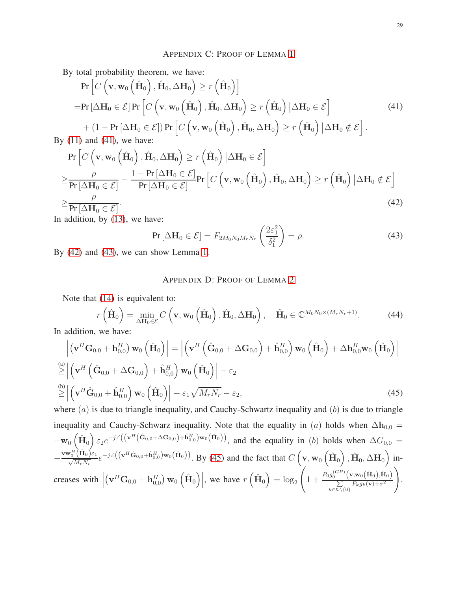## <span id="page-28-0"></span>APPENDIX C: PROOF OF LEMMA [1](#page-13-5)

By total probability theorem, we have:

$$
\Pr\left[C\left(\mathbf{v}, \mathbf{w}_0\left(\hat{\mathbf{H}}_0\right), \hat{\mathbf{H}}_0, \Delta \mathbf{H}_0\right) \ge r\left(\hat{\mathbf{H}}_0\right)\right]
$$
\n
$$
= \Pr\left[\Delta \mathbf{H}_0 \in \mathcal{E}\right] \Pr\left[C\left(\mathbf{v}, \mathbf{w}_0\left(\hat{\mathbf{H}}_0\right), \hat{\mathbf{H}}_0, \Delta \mathbf{H}_0\right) \ge r\left(\hat{\mathbf{H}}_0\right) | \Delta \mathbf{H}_0 \in \mathcal{E}\right]
$$
\n
$$
+ \left(1 - \Pr\left[\Delta \mathbf{H}_0 \in \mathcal{E}\right]\right) \Pr\left[C\left(\mathbf{v}, \mathbf{w}_0\left(\hat{\mathbf{H}}_0\right), \hat{\mathbf{H}}_0, \Delta \mathbf{H}_0\right) \ge r\left(\hat{\mathbf{H}}_0\right) | \Delta \mathbf{H}_0 \notin \mathcal{E}\right].
$$
\n(41) and (41) we have:

By  $(11)$  and  $(41)$ , we have:

$$
\Pr\left[C\left(\mathbf{v}, \mathbf{w}_{0}\left(\hat{\mathbf{H}}_{0}\right), \hat{\mathbf{H}}_{0}, \Delta \mathbf{H}_{0}\right) \geq r\left(\hat{\mathbf{H}}_{0}\right) | \Delta \mathbf{H}_{0} \in \mathcal{E}\right] \geq \frac{\rho}{\Pr[\Delta \mathbf{H}_{0} \in \mathcal{E}]} - \frac{1 - \Pr[\Delta \mathbf{H}_{0} \in \mathcal{E}]}{\Pr[\Delta \mathbf{H}_{0} \in \mathcal{E}]} \Pr\left[C\left(\mathbf{v}, \mathbf{w}_{0}\left(\hat{\mathbf{H}}_{0}\right), \hat{\mathbf{H}}_{0}, \Delta \mathbf{H}_{0}\right) \geq r\left(\hat{\mathbf{H}}_{0}\right) | \Delta \mathbf{H}_{0} \notin \mathcal{E}\right] \geq \frac{\rho}{\Pr[\Delta \mathbf{H}_{0} \in \mathcal{E}]}.
$$
\n(42)

In addition, by [\(13\)](#page-13-2), we have:

<span id="page-28-1"></span>
$$
\Pr\left[\Delta H_0 \in \mathcal{E}\right] = F_{2M_0N_0M_rN_r}\left(\frac{2\varepsilon_1^2}{\delta_1^2}\right) = \rho. \tag{43}
$$

By [\(42\)](#page-28-1) and [\(43\)](#page-28-2), we can show Lemma [1.](#page-13-5)

## <span id="page-28-3"></span><span id="page-28-2"></span>APPENDIX D: PROOF OF LEMMA [2](#page-14-5)

Note that [\(14\)](#page-13-1) is equivalent to:

$$
r\left(\hat{\mathbf{H}}_0\right) = \min_{\Delta\mathbf{H}_0 \in \mathcal{E}} C\left(\mathbf{v}, \mathbf{w}_0\left(\hat{\mathbf{H}}_0\right), \hat{\mathbf{H}}_0, \Delta\mathbf{H}_0\right), \quad \hat{\mathbf{H}}_0 \in \mathbb{C}^{M_0 N_0 \times (M_r N_r + 1)}. \tag{44}
$$

In addition, we have:

$$
\left| \left( \mathbf{v}^H \mathbf{G}_{0,0} + \mathbf{h}_{0,0}^H \right) \mathbf{w}_0 \left( \hat{\mathbf{H}}_0 \right) \right| = \left| \left( \mathbf{v}^H \left( \hat{\mathbf{G}}_{0,0} + \Delta \mathbf{G}_{0,0} \right) + \hat{\mathbf{h}}_{0,0}^H \right) \mathbf{w}_0 \left( \hat{\mathbf{H}}_0 \right) + \Delta \mathbf{h}_{0,0}^H \mathbf{w}_0 \left( \hat{\mathbf{H}}_0 \right) \right|
$$
\n
$$
\stackrel{\text{(a)}}{\geq} \left| \left( \mathbf{v}^H \left( \hat{\mathbf{G}}_{0,0} + \Delta \mathbf{G}_{0,0} \right) + \hat{\mathbf{h}}_{0,0}^H \right) \mathbf{w}_0 \left( \hat{\mathbf{H}}_0 \right) \right| - \varepsilon_2
$$
\n
$$
\stackrel{\text{(b)}}{\geq} \left| \left( \mathbf{v}^H \hat{\mathbf{G}}_{0,0} + \hat{\mathbf{h}}_{0,0}^H \right) \mathbf{w}_0 \left( \hat{\mathbf{H}}_0 \right) \right| - \varepsilon_1 \sqrt{M_r N_r} - \varepsilon_2, \tag{45}
$$

where  $(a)$  is due to triangle inequality, and Cauchy-Schwartz inequality and  $(b)$  is due to triangle inequality and Cauchy-Schwarz inequality. Note that the equality in (a) holds when  $\Delta h_{0,0} =$  $-\mathbf{w}_0\left(\hat{\mathbf{H}}_0\right) \varepsilon_2 e^{-j\angle\left(\left(\mathbf{v}^H\left(\hat{\mathbf{G}}_{0,0}+\Delta\mathbf{G}_{0,0}\right)+\hat{\mathbf{h}}_{0,0}^H\right)\mathbf{w}_0\left(\hat{\mathbf{H}}_0\right)\right)},$  and the equality in (b) holds when  $\Delta G_{0,0}$  = −  $\frac{\mathbf{v}\mathbf{w}_0^H(\hat{\mathbf{H}}_0)\varepsilon_1}{\sqrt{M_rN_r}}e^{-j\angle((\mathbf{v}^H\hat{\mathbf{G}}_{0,0}+\hat{\mathbf{h}}_{0,0}^H)\mathbf{w}_0(\hat{\mathbf{H}}_0))}$ . By [\(45\)](#page-28-3) and the fact that  $C(\mathbf{v},\mathbf{w}_0(\hat{\mathbf{H}}_0),\hat{\mathbf{H}}_0,\Delta\mathbf{H}_0)$  increases with  $\vert$  $(\mathbf{v}^H \mathbf{G}_{0,0} + \mathbf{h}_{0,0}^H) \mathbf{w}_0 (\hat{\mathbf{H}}_0)$ , we have  $r (\hat{\mathbf{H}}_0) = \log_2$  $\left(1+\frac{P_0g_0^{(GP)}(\mathbf{v},\mathbf{w}_0(\hat{\mathbf{H}}_0),\hat{\mathbf{H}}_0)}{\sum_{P_1,g_1}(\mathbf{v})+\sigma^2}\right)$  $\sum_{k \in \mathcal{K} \setminus \{0\}} P_k g_k(\mathbf{v}) + \sigma^2$  $\setminus$ .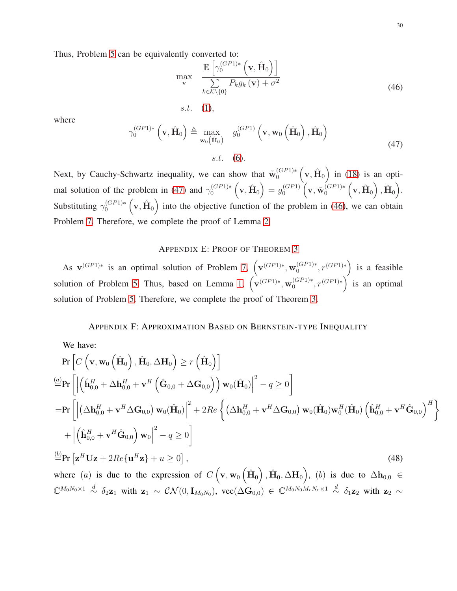<span id="page-29-1"></span>Thus, Problem [5](#page-13-0) can be equivalently converted to:

$$
\max_{\mathbf{v}} \quad \frac{\mathbb{E}\left[\gamma_0^{(GP1)*}\left(\mathbf{v}, \hat{\mathbf{H}}_0\right)\right]}{\sum\limits_{k \in \mathcal{K} \setminus \{0\}} P_k g_k\left(\mathbf{v}\right) + \sigma^2} \tag{46}
$$

<span id="page-29-0"></span>where

$$
\gamma_0^{(GP1)*} \left( \mathbf{v}, \hat{\mathbf{H}}_0 \right) \triangleq \max_{\mathbf{w}_0(\hat{\mathbf{H}}_0)} g_0^{(GP1)} \left( \mathbf{v}, \mathbf{w}_0 \left( \hat{\mathbf{H}}_0 \right), \hat{\mathbf{H}}_0 \right)
$$
  
s.t. (6). (47)

Next, by Cauchy-Schwartz inequality, we can show that  $\tilde{w}_0^{(GP1)*} (v, \hat{H}_0)$  in [\(18\)](#page-14-6) is an opti-mal solution of the problem in [\(47\)](#page-29-0) and  $\gamma_0^{(GP1)*}(\mathbf{v}, \hat{\mathbf{H}}_0) = g_0^{(GP1)}$  $_{0}^{(GP1)}\left( \mathbf{v},\tilde{\mathbf{w}}_{0}^{(GP1)*}\left( \mathbf{v},\hat{\mathbf{H}}_{0}\right) ,\hat{\mathbf{H}}_{0}\right) .$ Substituting  $\gamma_0^{(GP1)*}(\mathbf{v}, \hat{\mathbf{H}}_0)$  into the objective function of the problem in [\(46\)](#page-29-1), we can obtain Problem [7.](#page-14-1) Therefore, we complete the proof of Lemma [2.](#page-14-5)

s.t.  $(1)$ ,

#### <span id="page-29-2"></span>APPENDIX E: PROOF OF THEOREM [3](#page-15-5)

As  $\mathbf{v}^{(GP1)*}$  is an optimal solution of Problem [7,](#page-14-1)  $(\mathbf{v}^{(GP1)*}, \mathbf{w}_0^{(GP1)*}, r^{(GP1)*})$  is a feasible solution of Problem [5.](#page-13-0) Thus, based on Lemma [1,](#page-13-5)  $(\mathbf{v}^{(GP1)*}, \mathbf{w}_0^{(GP1)*}, r^{(GP1)*})$  is an optimal solution of Problem [5.](#page-13-0) Therefore, we complete the proof of Theorem [3.](#page-15-5)

## APPENDIX F: APPROXIMATION BASED ON BERNSTEIN-TYPE INEQUALITY

We have:  
\n
$$
\Pr\left[C\left(\mathbf{v}, \mathbf{w}_0\left(\hat{\mathbf{H}}_0\right), \hat{\mathbf{H}}_0, \Delta \mathbf{H}_0\right) \ge r\left(\hat{\mathbf{H}}_0\right)\right]
$$
\n
$$
\stackrel{(a)}{=} \Pr\left[\left|\left(\hat{\mathbf{h}}_{0,0}^H + \Delta \mathbf{h}_{0,0}^H + \mathbf{v}^H \left(\hat{\mathbf{G}}_{0,0} + \Delta \mathbf{G}_{0,0}\right)\right) \mathbf{w}_0(\hat{\mathbf{H}}_0)\right|^2 - q \ge 0\right]
$$
\n
$$
= \Pr\left[\left|\left(\Delta \mathbf{h}_{0,0}^H + \mathbf{v}^H \Delta \mathbf{G}_{0,0}\right) \mathbf{w}_0(\hat{\mathbf{H}}_0)\right|^2 + 2Re\left\{\left(\Delta \mathbf{h}_{0,0}^H + \mathbf{v}^H \Delta \mathbf{G}_{0,0}\right) \mathbf{w}_0(\hat{\mathbf{H}}_0) \mathbf{w}_0^H(\hat{\mathbf{H}}_0) \left(\hat{\mathbf{h}}_{0,0}^H + \mathbf{v}^H \hat{\mathbf{G}}_{0,0}\right)^H\right\}
$$
\n
$$
+ \left|\left(\hat{\mathbf{h}}_{0,0}^H + \mathbf{v}^H \hat{\mathbf{G}}_{0,0}\right) \mathbf{w}_0\right|^2 - q \ge 0\right]
$$
\n
$$
\stackrel{(b)}{=} \Pr\left[\mathbf{z}^H \mathbf{U} \mathbf{z} + 2Re\{\mathbf{u}^H \mathbf{z}\} + u \ge 0\right],
$$
\n
$$
(48)
$$

where (a) is due to the expression of  $C\left(\mathbf{v}, \mathbf{w}_{0}\left(\hat{\mathbf{H}}_{0}\right), \hat{\mathbf{H}}_{0}, \Delta \mathbf{H}_{0}\right)$ , (b) is due to  $\Delta \mathbf{h}_{0,0} \in$  $\mathbb{C}^{M_0N_0\times 1}\stackrel{d}{\sim}\delta_2\mathbf{z}_1$  with  $\mathbf{z}_1 \sim \mathcal{CN}(0,\mathbf{I}_{M_0N_0}),\ \mathrm{vec}(\Delta\mathbf{G}_{0,0})\in\mathbb{C}^{M_0N_0M_rN_r\times 1}\stackrel{d}{\sim}\delta_1\mathbf{z}_2$  with  $\mathbf{z}_2\sim$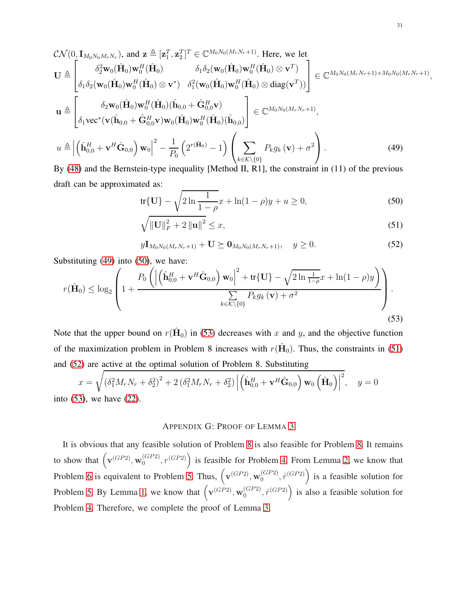$$
\mathcal{CN}(0,\mathbf{I}_{M_0N_0M_rN_r}), \text{ and } \mathbf{z} \triangleq [\mathbf{z}_1^T, \mathbf{z}_2^T]^T \in \mathbb{C}^{M_0N_0(M_rN_r+1)}. \text{ Here, we let}
$$
\n
$$
\mathbf{U} \triangleq \begin{bmatrix}\n\delta_2^2 \mathbf{w}_0(\hat{\mathbf{H}}_0) \mathbf{w}_0^H(\hat{\mathbf{H}}_0) & \delta_1 \delta_2 (\mathbf{w}_0(\hat{\mathbf{H}}_0) \mathbf{w}_0^H(\hat{\mathbf{H}}_0) \otimes \mathbf{v}^T) \\
\delta_1 \delta_2 (\mathbf{w}_0(\hat{\mathbf{H}}_0) \mathbf{w}_0^H(\hat{\mathbf{H}}_0) \otimes \mathbf{v}^*) & \delta_1^2 (\mathbf{w}_0(\hat{\mathbf{H}}_0) \mathbf{w}_0^H(\hat{\mathbf{H}}_0) \otimes \text{diag}(\mathbf{v}^T))\end{bmatrix} \in \mathbb{C}^{M_0N_0(M_rN_r+1)\times M_0N_0(M_rN_r+1)},
$$
\n
$$
\mathbf{u} \triangleq \begin{bmatrix}\n\delta_2 \mathbf{w}_0(\hat{\mathbf{H}}_0) \mathbf{w}_0^H(\hat{\mathbf{H}}_0)(\hat{\mathbf{h}}_{0,0} + \hat{\mathbf{G}}_{0,0}^H \mathbf{v}) \\
\delta_1 \mathbf{v} \mathbf{c}^*(\mathbf{v}(\hat{\mathbf{h}}_{0,0} + \hat{\mathbf{G}}_{0,0}^H \mathbf{v}) \mathbf{w}_0(\hat{\mathbf{H}}_0) \mathbf{w}_0^H(\hat{\mathbf{H}}_0)(\hat{\mathbf{h}}_{0,0})\end{bmatrix} \in \mathbb{C}^{M_0N_0(M_rN_r+1)},
$$
\n
$$
u \triangleq \left| \left( \hat{\mathbf{h}}_{0,0}^H + \mathbf{v}^H \hat{\mathbf{G}}_{0,0} \right) \mathbf{w}_0 \right|^2 - \frac{1}{P_0} \left( 2^{r(\hat{\mathbf{H}}_0)} - 1 \right) \left( \sum_{k \in \mathcal{K} \setminus \{0\}} P_k g_k(\mathbf{v}) + \sigma
$$

By [\(48\)](#page-29-2) and the Bernstein-type inequality [Method II, R1], the constraint in (11) of the previous draft can be approximated as:

<span id="page-30-1"></span><span id="page-30-0"></span>
$$
\operatorname{tr}\{\mathbf{U}\} - \sqrt{2\ln\frac{1}{1-\rho}}x + \ln(1-\rho)y + u \ge 0,\tag{50}
$$

<span id="page-30-4"></span><span id="page-30-3"></span>
$$
\sqrt{\|\mathbf{U}\|_{F}^{2} + 2\|\mathbf{u}\|^{2}} \leq x,
$$
\n(51)

 $yI_{M_0N_0(M_rN_r+1)} + U \succeq 0_{M_0N_0(M_rN_r+1)}, \quad y \ge 0.$  (52)

Substituting [\(49\)](#page-30-0) into [\(50\)](#page-30-1), we have:

$$
r(\hat{\mathbf{H}}_0) \leq \log_2 \left( 1 + \frac{P_0 \left( \left| \left( \hat{\mathbf{h}}_{0,0}^H + \mathbf{v}^H \hat{\mathbf{G}}_{0,0} \right) \mathbf{w}_0 \right|^2 + \text{tr}\{\mathbf{U}\} - \sqrt{2 \ln \frac{1}{1-\rho}} x + \ln(1-\rho)y \right)}{\sum\limits_{k \in \mathcal{K} \setminus \{0\}} P_k g_k \left( \mathbf{v} \right) + \sigma^2} \right).
$$
\n(53)

Note that the upper bound on  $r(\hat{H}_0)$  in [\(53\)](#page-30-2) decreases with x and y, and the objective function of the maximization problem in Problem 8 increases with  $r(\hat{H}_0)$ . Thus, the constraints in [\(51\)](#page-30-3) and [\(52\)](#page-30-4) are active at the optimal solution of Problem 8. Substituting

$$
x = \sqrt{(\delta_1^2 M_r N_r + \delta_2^2)^2 + 2 (\delta_1^2 M_r N_r + \delta_2^2) \left| \left( \hat{\mathbf{h}}_{0,0}^H + \mathbf{v}^H \hat{\mathbf{G}}_{0,0} \right) \mathbf{w}_0 \left( \hat{\mathbf{H}}_0 \right) \right|^2}, \quad y = 0
$$
\n(53), we have (22).

into  $(53)$ , we have

## <span id="page-30-2"></span>APPENDIX G: PROOF OF LEMMA [3](#page-16-7)

It is obvious that any feasible solution of Problem [8](#page-15-0) is also feasible for Problem [8.](#page-15-0) It remains to show that  $(\mathbf{v}^{(GP2)}, \mathbf{w}_0^{(GP2)})$  $\binom{(GP2)}{0}$ ,  $r(GP2)$  is feasible for Problem [4.](#page-12-1) From Lemma [2,](#page-14-5) we know that Problem [6](#page-14-0) is equivalent to Problem [5.](#page-13-0) Thus,  $(\mathbf{v}^{(GP2)}, \mathbf{w}_0^{(GP2)})$  $\binom{(GP2)}{0}$ ,  $\hat{r}^{(GP2)}$  is a feasible solution for Problem [5.](#page-13-0) By Lemma [1,](#page-13-5) we know that  $(\mathbf{v}^{(GP2)}, \mathbf{w}_0^{(GP2)})$  $\binom{(GP2)}{0}$ ,  $\hat{r}^{(GP2)}$  is also a feasible solution for Problem [4.](#page-12-1) Therefore, we complete the proof of Lemma [3.](#page-16-7)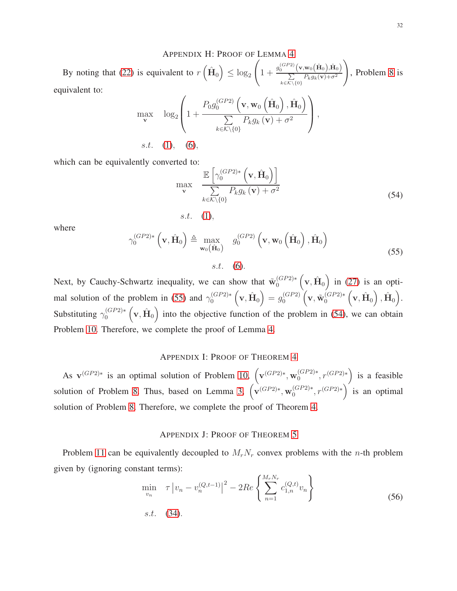## APPENDIX H: PROOF OF LEMMA [4](#page-16-4)

By noting that [\(22\)](#page-15-1) is equivalent to  $r\left(\hat{\mathbf{H}}_0\right) \leq \log_2$  $\left(1+\frac{g_0^{(GP2)}(\mathbf{v},\mathbf{w}_0(\hat{\mathbf{H}}_0),\hat{\mathbf{H}}_0)}{\sum_{p_1,p_2}p_{p_3}(\mathbf{v})+\sigma^2}\right)$  $\sum_{k \in \mathcal{K} \setminus \{0\}} P_k g_k(\mathbf{v}) + \sigma^2$  $\setminus$ , Problem [8](#page-15-0) is equivalent to:

$$
\max_{\mathbf{v}} \quad \log_2 \left( 1 + \frac{P_0 g_0^{(GP2)} \left( \mathbf{v}, \mathbf{w}_0 \left( \hat{\mathbf{H}}_0 \right), \hat{\mathbf{H}}_0 \right)}{\sum\limits_{k \in \mathcal{K} \setminus \{0\}} P_k g_k \left( \mathbf{v} \right) + \sigma^2} \right),
$$
  
s.t. (1), (6),

<span id="page-31-1"></span>which can be equivalently converted to:

$$
\max_{\mathbf{v}} \quad \frac{\mathbb{E}\left[\gamma_0^{(GP2)*}\left(\mathbf{v}, \hat{\mathbf{H}}_0\right)\right]}{\sum\limits_{k \in \mathcal{K} \setminus \{0\}} P_k g_k\left(\mathbf{v}\right) + \sigma^2} \tag{54}
$$

$$
s.t. (1),
$$

<span id="page-31-0"></span>where

$$
\gamma_0^{(GP2)*}\left(\mathbf{v}, \hat{\mathbf{H}}_0\right) \triangleq \max_{\mathbf{w}_0(\hat{\mathbf{H}}_0)} g_0^{(GP2)}\left(\mathbf{v}, \mathbf{w}_0\left(\hat{\mathbf{H}}_0\right), \hat{\mathbf{H}}_0\right)
$$
\n
$$
s.t. \quad (6).
$$
\n(55)

Next, by Cauchy-Schwartz inequality, we can show that  $\tilde{w}_0^{(GP2)*} (v, \hat{H}_0)$  in [\(27\)](#page-16-5) is an opti-mal solution of the problem in [\(55\)](#page-31-0) and  $\gamma_0^{(GP2)*}(\mathbf{v}, \hat{\mathbf{H}}_0) = g_0^{(GP2)}$  $_{0}^{(GP2)}\left( \mathbf{v},\mathbf{\tilde{w}}_{0}^{(GP2)*}\left( \mathbf{v},\hat{\mathbf{H}}_{0}\right) ,\hat{\mathbf{H}}_{0}\right) .$ Substituting  $\gamma_0^{(GP2)*}(\mathbf{v}, \hat{\mathbf{H}}_0)$  into the objective function of the problem in [\(54\)](#page-31-1), we can obtain Problem [10.](#page-17-1) Therefore, we complete the proof of Lemma [4.](#page-16-4)

## APPENDIX I: PROOF OF THEOREM [4](#page-17-4)

As  $\mathbf{v}^{(GP2)*}$  is an optimal solution of Problem [10,](#page-17-1)  $(\mathbf{v}^{(GP2)*}, \mathbf{w}_0^{(GP2)*}, r^{(GP2)*})$  is a feasible solution of Problem [8.](#page-15-0) Thus, based on Lemma [3,](#page-16-7)  $(\mathbf{v}^{(GP2)*}, \mathbf{w}_0^{(GP2)*}, r^{(GP2)*})$  is an optimal solution of Problem [8.](#page-15-0) Therefore, we complete the proof of Theorem [4.](#page-17-4)

## <span id="page-31-2"></span>APPENDIX J: PROOF OF THEOREM [5](#page-19-0)

Problem [11](#page-18-2) can be equivalently decoupled to  $M_rN_r$  convex problems with the *n*-th problem given by (ignoring constant terms):

$$
\min_{v_n} \quad \tau \left| v_n - v_n^{(Q, t-1)} \right|^2 - 2Re \left\{ \sum_{n=1}^{M_r N_r} c_{1,n}^{(Q, t)} v_n \right\}
$$
\ns.t.

\n
$$
(34).
$$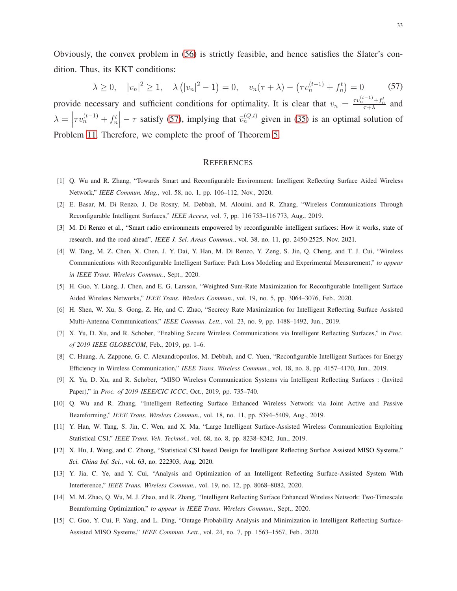Obviously, the convex problem in [\(56\)](#page-31-2) is strictly feasible, and hence satisfies the Slater's condition. Thus, its KKT conditions:

$$
\lambda \ge 0, \quad |v_n|^2 \ge 1, \quad \lambda \left( |v_n|^2 - 1 \right) = 0, \quad v_n(\tau + \lambda) - \left( \tau v_n^{(t-1)} + f_n^t \right) = 0 \tag{57}
$$

provide necessary and sufficient conditions for optimality. It is clear that  $v_n = \frac{\tau v_n^{(t-1)} + f_n^t}{\tau + \lambda}$  and  $\lambda =$  $\tau v_n^{(t-1)} + f_n^t$  –  $\tau$  satisfy [\(57\)](#page-32-15), implying that  $\bar{v}_n^{(Q,t)}$  given in [\(35\)](#page-19-2) is an optimal solution of Problem [11.](#page-18-2) Therefore, we complete the proof of Theorem [5.](#page-19-0)

#### <span id="page-32-15"></span>**REFERENCES**

- <span id="page-32-1"></span><span id="page-32-0"></span>[1] Q. Wu and R. Zhang, "Towards Smart and Reconfigurable Environment: Intelligent Reflecting Surface Aided Wireless Network," *IEEE Commun. Mag.*, vol. 58, no. 1, pp. 106–112, Nov., 2020.
- <span id="page-32-2"></span>[2] E. Basar, M. Di Renzo, J. De Rosny, M. Debbah, M. Alouini, and R. Zhang, "Wireless Communications Through Reconfigurable Intelligent Surfaces," *IEEE Access*, vol. 7, pp. 116 753–116 773, Aug., 2019.
- <span id="page-32-3"></span>[3] M. Di Renzo et al., "Smart radio environments empowered by reconfigurable intelligent surfaces: How it works, state of research, and the road ahead", *IEEE J. Sel. Areas Commun.*, vol. 38, no. 11, pp. 2450-2525, Nov. 2021.
- [4] W. Tang, M. Z. Chen, X. Chen, J. Y. Dai, Y. Han, M. Di Renzo, Y. Zeng, S. Jin, Q. Cheng, and T. J. Cui, "Wireless Communications with Reconfigurable Intelligent Surface: Path Loss Modeling and Experimental Measurement," *to appear in IEEE Trans. Wireless Commun.*, Sept., 2020.
- <span id="page-32-6"></span><span id="page-32-4"></span>[5] H. Guo, Y. Liang, J. Chen, and E. G. Larsson, "Weighted Sum-Rate Maximization for Reconfigurable Intelligent Surface Aided Wireless Networks," *IEEE Trans. Wireless Commun.*, vol. 19, no. 5, pp. 3064–3076, Feb., 2020.
- <span id="page-32-7"></span>[6] H. Shen, W. Xu, S. Gong, Z. He, and C. Zhao, "Secrecy Rate Maximization for Intelligent Reflecting Surface Assisted Multi-Antenna Communications," *IEEE Commun. Lett.*, vol. 23, no. 9, pp. 1488–1492, Jun., 2019.
- <span id="page-32-8"></span>[7] X. Yu, D. Xu, and R. Schober, "Enabling Secure Wireless Communications via Intelligent Reflecting Surfaces," in *Proc. of 2019 IEEE GLOBECOM*, Feb., 2019, pp. 1–6.
- <span id="page-32-9"></span>[8] C. Huang, A. Zappone, G. C. Alexandropoulos, M. Debbah, and C. Yuen, "Reconfigurable Intelligent Surfaces for Energy Efficiency in Wireless Communication," *IEEE Trans. Wireless Commun.*, vol. 18, no. 8, pp. 4157–4170, Jun., 2019.
- <span id="page-32-5"></span>[9] X. Yu, D. Xu, and R. Schober, "MISO Wireless Communication Systems via Intelligent Reflecting Surfaces : (Invited Paper)," in *Proc. of 2019 IEEE/CIC ICCC*, Oct., 2019, pp. 735–740.
- <span id="page-32-10"></span>[10] Q. Wu and R. Zhang, "Intelligent Reflecting Surface Enhanced Wireless Network via Joint Active and Passive Beamforming," *IEEE Trans. Wireless Commun.*, vol. 18, no. 11, pp. 5394–5409, Aug., 2019.
- <span id="page-32-14"></span>[11] Y. Han, W. Tang, S. Jin, C. Wen, and X. Ma, "Large Intelligent Surface-Assisted Wireless Communication Exploiting Statistical CSI," *IEEE Trans. Veh. Technol.*, vol. 68, no. 8, pp. 8238–8242, Jun., 2019.
- <span id="page-32-11"></span>[12] X. Hu, J. Wang, and C. Zhong, "Statistical CSI based Design for Intelligent Reflecting Surface Assisted MISO Systems." *Sci. China Inf. Sci.*, vol. 63, no. 222303, Aug. 2020.
- <span id="page-32-12"></span>[13] Y. Jia, C. Ye, and Y. Cui, "Analysis and Optimization of an Intelligent Reflecting Surface-Assisted System With Interference," *IEEE Trans. Wireless Commun.*, vol. 19, no. 12, pp. 8068–8082, 2020.
- <span id="page-32-13"></span>[14] M. M. Zhao, Q. Wu, M. J. Zhao, and R. Zhang, "Intelligent Reflecting Surface Enhanced Wireless Network: Two-Timescale Beamforming Optimization," *to appear in IEEE Trans. Wireless Commun.*, Sept., 2020.
- [15] C. Guo, Y. Cui, F. Yang, and L. Ding, "Outage Probability Analysis and Minimization in Intelligent Reflecting Surface-Assisted MISO Systems," *IEEE Commun. Lett.*, vol. 24, no. 7, pp. 1563–1567, Feb., 2020.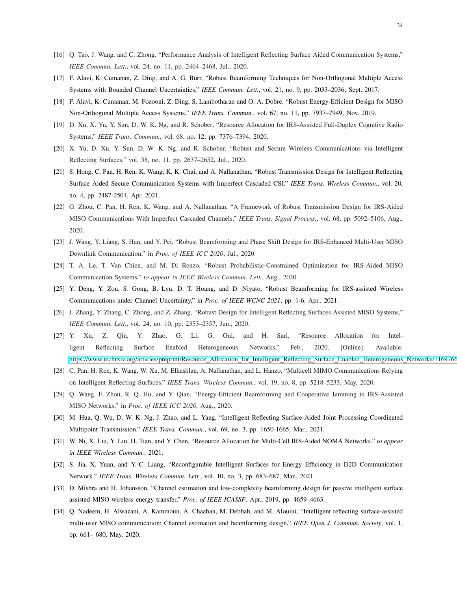- <span id="page-33-1"></span><span id="page-33-0"></span>[16] Q. Tao, J. Wang, and C. Zhong, "Performance Analysis of Intelligent Reflecting Surface Aided Communication Systems," *IEEE Commun. Lett.*, vol. 24, no. 11, pp. 2464–2468, Jul., 2020.
- <span id="page-33-2"></span>[17] F. Alavi, K. Cumanan, Z. Ding, and A. G. Burr, "Robust Beamforming Techniques for Non-Orthogonal Multiple Access Systems with Bounded Channel Uncertainties," *IEEE Commun. Lett.*, vol. 21, no. 9, pp. 2033–2036, Sept. 2017.
- <span id="page-33-3"></span>[18] F. Alavi, K. Cumanan, M. Fozooni, Z. Ding, S. Lambotharan and O. A. Dobre, "Robust Energy-Efficient Design for MISO Non-Orthogonal Multiple Access Systems," *IEEE Trans. Commun.*, vol. 67, no. 11, pp. 7937–7949, Nov. 2019.
- <span id="page-33-5"></span>[19] D. Xu, X. Yu, Y. Sun, D. W. K. Ng, and R. Schober, "Resource Allocation for IRS-Assisted Full-Duplex Cognitive Radio Systems," *IEEE Trans. Commun.*, vol. 68, no. 12, pp. 7376–7394, 2020.
- <span id="page-33-6"></span>[20] X. Yu, D. Xu, Y. Sun, D. W. K. Ng, and R. Schober, "Robust and Secure Wireless Communications via Intelligent Reflecting Surfaces," vol. 38, no. 11, pp. 2637–2652, Jul., 2020.
- [21] S. Hong, C. Pan, H. Ren, K. Wang, K. K. Chai, and A. Nallanathan, "Robust Transmission Design for Intelligent Reflecting Surface Aided Secure Communication Systems with Imperfect Cascaded CSI," *IEEE Trans. Wireless Commun.*, vol. 20, no. 4, pp. 2487-2501, Apr. 2021.
- <span id="page-33-10"></span>[22] G. Zhou, C. Pan, H. Ren, K. Wang, and A. Nallanathan, "A Framework of Robust Transmission Design for IRS-Aided MISO Communications With Imperfect Cascaded Channels," *IEEE Trans. Signal Process.*, vol. 68, pp. 5092–5106, Aug., 2020.
- [23] J. Wang, Y. Liang, S. Han, and Y. Pei, "Robust Beamforming and Phase Shift Design for IRS-Enhanced Multi-User MISO Downlink Communication," in *Proc. of IEEE ICC 2020*, Jul., 2020.
- <span id="page-33-7"></span>[24] T. A. Le, T. Van Chien, and M. Di Renzo, "Robust Probabilistic-Constrained Optimization for IRS-Aided MISO Communication Systems," *to appear in IEEE Wireless Commun. Lett.*, Aug., 2020.
- <span id="page-33-4"></span>[25] Y. Deng, Y. Zou, S. Gong, B. Lyu, D. T. Hoang, and D. Niyato, "Robust Beamforming for IRS-assisted Wireless Communications under Channel Uncertainty," in *Proc. of IEEE WCNC 2021*, pp. 1-6, Apr., 2021.
- <span id="page-33-8"></span>[26] J. Zhang, Y. Zhang, C. Zhong, and Z. Zhang, "Robust Design for Intelligent Reflecting Surfaces Assisted MISO Systems," *IEEE Commun. Lett.*, vol. 24, no. 10, pp. 2353–2357, Jun., 2020.
- [27] Y. Xu, Z. Qin, Y. Zhao, G. Li, G. Gui, and H. Sari, "Resource Allocation for Intelligent Reflecting Surface Enabled Heterogeneous Networks," Feb., 2020. [Online]. Available: [https://www.techrxiv.org/articles/preprint/Resource](https://www.techrxiv.org/articles/preprint/Resource_Allocation_for_Intelligent_Reflecting_Surface_Enabled_Heterogeneous_Networks/11697666) Allocation for Intelligent Reflecting Surface Enabled Heterogeneous Networks/11697666
- <span id="page-33-13"></span>[28] C. Pan, H. Ren, K. Wang, W. Xu, M. Elkashlan, A. Nallanathan, and L. Hanzo, "Multicell MIMO Communications Relying on Intelligent Reflecting Surfaces," *IEEE Trans. Wireless Commun.*, vol. 19, no. 8, pp. 5218–5233, May, 2020.
- [29] Q. Wang, F. Zhou, R. Q. Hu, and Y. Qian, "Energy-Efficient Beamforming and Cooperative Jamming in IRS-Assisted MISO Networks," in *Proc. of IEEE ICC 2020*, Aug., 2020.
- [30] M. Hua, Q. Wu, D. W. K. Ng, J. Zhao, and L. Yang, "Intelligent Reflecting Surface-Aided Joint Processing Coordinated Multipoint Transmission." *IEEE Trans. Commun.*, vol. 69, no. 3, pp. 1650-1665, Mar., 2021.
- <span id="page-33-9"></span>[31] W. Ni, X. Liu, Y. Liu, H. Tian, and Y. Chen, "Resource Allocation for Multi-Cell IRS-Aided NOMA Networks." *to appear in IEEE Wireless Commun.*, 2021.
- <span id="page-33-11"></span>[32] S. Jia, X. Yuan, and Y.-C. Liang, "Reconfigurable Intelligent Surfaces for Energy Efficiency in D2D Communication Network." *IEEE Trans. Wireless Commun. Lett.*, vol. 10, no. 3, pp. 683–687, Mar., 2021.
- <span id="page-33-12"></span>[33] D. Mishra and H. Johansson, "Channel estimation and low-complexity beamforming design for passive intelligent surface assisted MISO wireless energy transfer," *Proc. of IEEE ICASSP*, Apr., 2019, pp. 4659–4663.
- [34] Q. Nadeem, H. Alwazani, A. Kammoun, A. Chaaban, M. Debbah, and M. Alouini, "Intelligent reflecting surface-assisted multi-user MISO communication: Channel estimation and beamforming design," *IEEE Open J. Commun. Society*, vol. 1, pp. 661– 680, May, 2020.